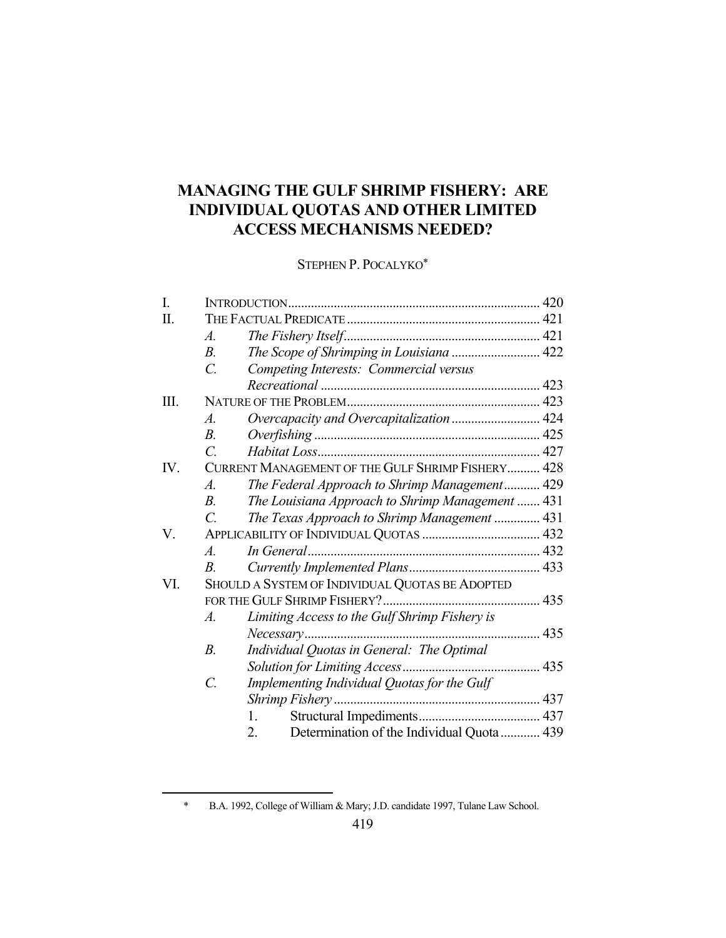# **MANAGING THE GULF SHRIMP FISHERY: ARE INDIVIDUAL QUOTAS AND OTHER LIMITED ACCESS MECHANISMS NEEDED?**

STEPHEN P. POCALYKO\*

| I.  |                                                   |                                                  |  |  |
|-----|---------------------------------------------------|--------------------------------------------------|--|--|
| П.  |                                                   |                                                  |  |  |
|     | A.                                                |                                                  |  |  |
|     | $B_{\cdot}$                                       | The Scope of Shrimping in Louisiana  422         |  |  |
|     | $\overline{C}$ .                                  | Competing Interests: Commercial versus           |  |  |
|     |                                                   |                                                  |  |  |
| Ш.  |                                                   |                                                  |  |  |
|     | $\boldsymbol{A}$ .                                | Overcapacity and Overcapitalization  424         |  |  |
|     | $B_{\cdot}$                                       |                                                  |  |  |
|     | $\overline{C}$                                    |                                                  |  |  |
| IV. | CURRENT MANAGEMENT OF THE GULF SHRIMP FISHERY 428 |                                                  |  |  |
|     | A.                                                | The Federal Approach to Shrimp Management 429    |  |  |
|     | $B_{\cdot}$                                       | The Louisiana Approach to Shrimp Management  431 |  |  |
|     | $\mathcal{C}$                                     | The Texas Approach to Shrimp Management  431     |  |  |
| V.  |                                                   |                                                  |  |  |
|     | $\mathcal{A}$ .                                   |                                                  |  |  |
|     | $B_{\cdot}$                                       |                                                  |  |  |
| VI. | SHOULD A SYSTEM OF INDIVIDUAL QUOTAS BE ADOPTED   |                                                  |  |  |
|     |                                                   |                                                  |  |  |
|     | $\boldsymbol{\mathcal{A}}$ .                      | Limiting Access to the Gulf Shrimp Fishery is    |  |  |
|     |                                                   | Necessary                                        |  |  |
|     | $B$ .                                             | Individual Quotas in General: The Optimal        |  |  |
|     |                                                   |                                                  |  |  |
|     | $\overline{C}$ .                                  | Implementing Individual Quotas for the Gulf      |  |  |
|     |                                                   |                                                  |  |  |
|     |                                                   | 1.                                               |  |  |
|     |                                                   | Determination of the Individual Quota  439<br>2. |  |  |

 <sup>\*</sup> B.A. 1992, College of William & Mary; J.D. candidate 1997, Tulane Law School.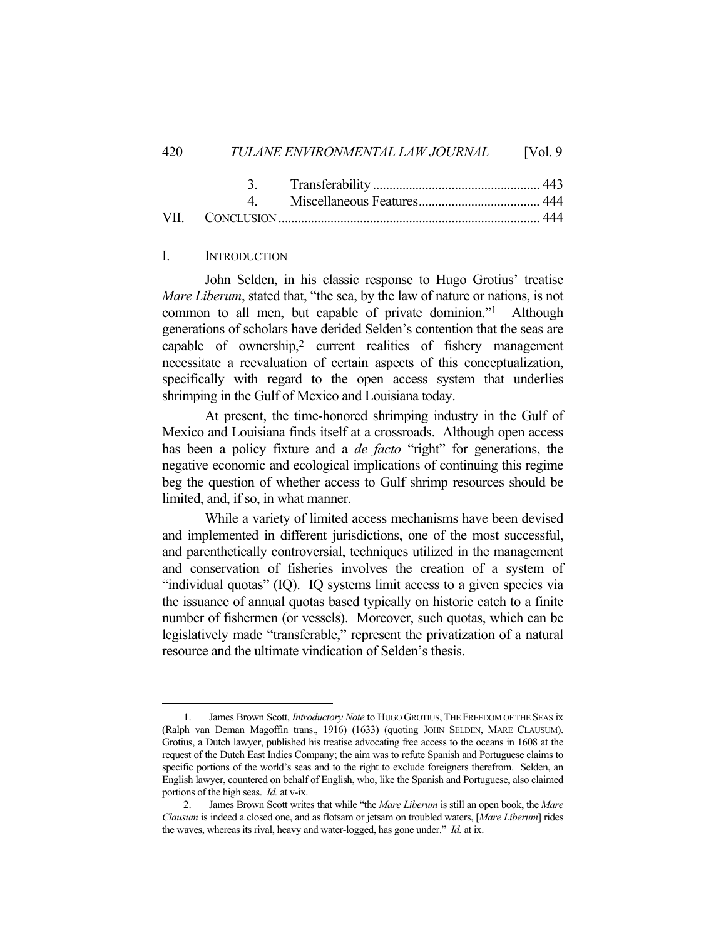#### I. INTRODUCTION

 John Selden, in his classic response to Hugo Grotius' treatise *Mare Liberum*, stated that, "the sea, by the law of nature or nations, is not common to all men, but capable of private dominion."1 Although generations of scholars have derided Selden's contention that the seas are capable of ownership,<sup>2</sup> current realities of fishery management necessitate a reevaluation of certain aspects of this conceptualization, specifically with regard to the open access system that underlies shrimping in the Gulf of Mexico and Louisiana today.

 At present, the time-honored shrimping industry in the Gulf of Mexico and Louisiana finds itself at a crossroads. Although open access has been a policy fixture and a *de facto* "right" for generations, the negative economic and ecological implications of continuing this regime beg the question of whether access to Gulf shrimp resources should be limited, and, if so, in what manner.

 While a variety of limited access mechanisms have been devised and implemented in different jurisdictions, one of the most successful, and parenthetically controversial, techniques utilized in the management and conservation of fisheries involves the creation of a system of "individual quotas" (IQ). IQ systems limit access to a given species via the issuance of annual quotas based typically on historic catch to a finite number of fishermen (or vessels). Moreover, such quotas, which can be legislatively made "transferable," represent the privatization of a natural resource and the ultimate vindication of Selden's thesis.

 <sup>1.</sup> James Brown Scott, *Introductory Note* to HUGO GROTIUS, THE FREEDOM OF THE SEAS ix (Ralph van Deman Magoffin trans., 1916) (1633) (quoting JOHN SELDEN, MARE CLAUSUM). Grotius, a Dutch lawyer, published his treatise advocating free access to the oceans in 1608 at the request of the Dutch East Indies Company; the aim was to refute Spanish and Portuguese claims to specific portions of the world's seas and to the right to exclude foreigners therefrom. Selden, an English lawyer, countered on behalf of English, who, like the Spanish and Portuguese, also claimed portions of the high seas. *Id.* at v-ix.

 <sup>2.</sup> James Brown Scott writes that while "the *Mare Liberum* is still an open book, the *Mare Clausum* is indeed a closed one, and as flotsam or jetsam on troubled waters, [*Mare Liberum*] rides the waves, whereas its rival, heavy and water-logged, has gone under." *Id.* at ix.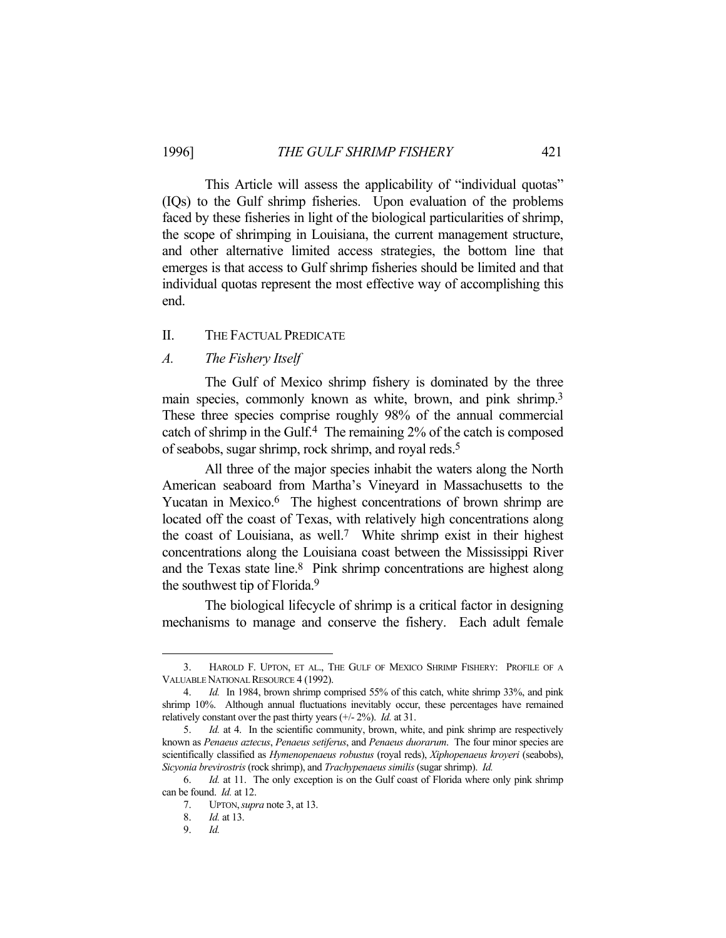This Article will assess the applicability of "individual quotas" (IQs) to the Gulf shrimp fisheries. Upon evaluation of the problems faced by these fisheries in light of the biological particularities of shrimp, the scope of shrimping in Louisiana, the current management structure, and other alternative limited access strategies, the bottom line that emerges is that access to Gulf shrimp fisheries should be limited and that individual quotas represent the most effective way of accomplishing this end.

#### II. THE FACTUAL PREDICATE

# *A. The Fishery Itself*

 The Gulf of Mexico shrimp fishery is dominated by the three main species, commonly known as white, brown, and pink shrimp.<sup>3</sup> These three species comprise roughly 98% of the annual commercial catch of shrimp in the Gulf.4 The remaining 2% of the catch is composed of seabobs, sugar shrimp, rock shrimp, and royal reds.5

 All three of the major species inhabit the waters along the North American seaboard from Martha's Vineyard in Massachusetts to the Yucatan in Mexico.<sup>6</sup> The highest concentrations of brown shrimp are located off the coast of Texas, with relatively high concentrations along the coast of Louisiana, as well.7 White shrimp exist in their highest concentrations along the Louisiana coast between the Mississippi River and the Texas state line.<sup>8</sup> Pink shrimp concentrations are highest along the southwest tip of Florida.9

 The biological lifecycle of shrimp is a critical factor in designing mechanisms to manage and conserve the fishery. Each adult female

 <sup>3.</sup> HAROLD F. UPTON, ET AL., THE GULF OF MEXICO SHRIMP FISHERY: PROFILE OF A VALUABLE NATIONAL RESOURCE 4 (1992).

 <sup>4.</sup> *Id.* In 1984, brown shrimp comprised 55% of this catch, white shrimp 33%, and pink shrimp 10%. Although annual fluctuations inevitably occur, these percentages have remained relatively constant over the past thirty years (+/- 2%). *Id.* at 31.

 <sup>5.</sup> *Id.* at 4. In the scientific community, brown, white, and pink shrimp are respectively known as *Penaeus aztecus*, *Penaeus setiferus*, and *Penaeus duorarum*. The four minor species are scientifically classified as *Hymenopenaeus robustus* (royal reds), *Xiphopenaeus kroyeri* (seabobs), *Sicyonia brevirostris* (rock shrimp), and *Trachypenaeus similis* (sugar shrimp). *Id.*

 <sup>6.</sup> *Id.* at 11. The only exception is on the Gulf coast of Florida where only pink shrimp can be found. *Id.* at 12.

 <sup>7.</sup> UPTON,*supra* note 3, at 13.

 <sup>8.</sup> *Id.* at 13.

 <sup>9.</sup> *Id.*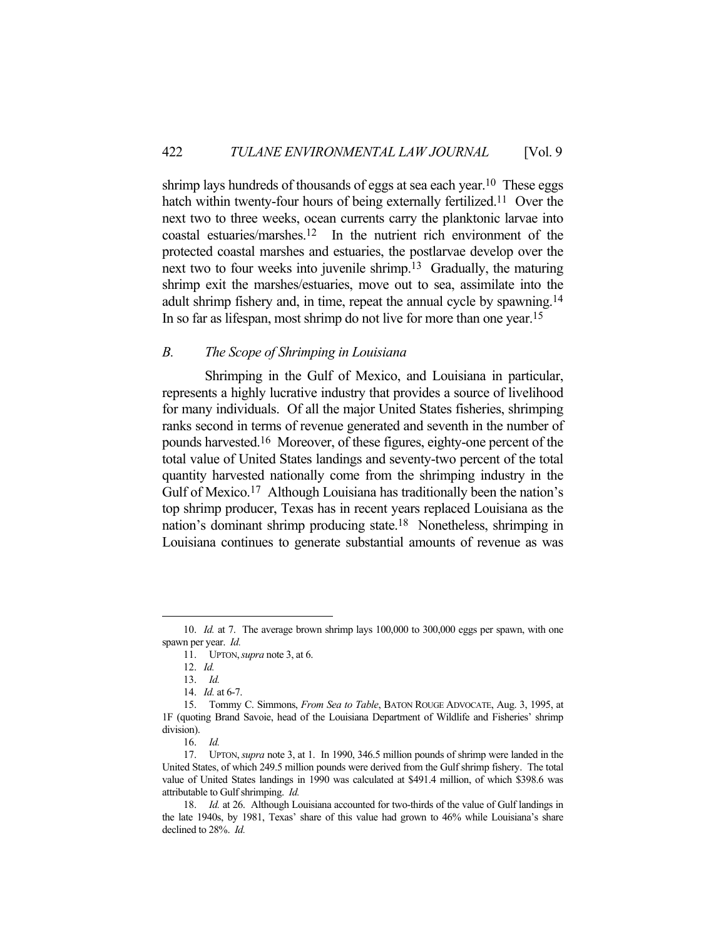shrimp lays hundreds of thousands of eggs at sea each year.<sup>10</sup> These eggs hatch within twenty-four hours of being externally fertilized.<sup>11</sup> Over the next two to three weeks, ocean currents carry the planktonic larvae into coastal estuaries/marshes.12 In the nutrient rich environment of the protected coastal marshes and estuaries, the postlarvae develop over the next two to four weeks into juvenile shrimp.13 Gradually, the maturing shrimp exit the marshes/estuaries, move out to sea, assimilate into the adult shrimp fishery and, in time, repeat the annual cycle by spawning.14 In so far as lifespan, most shrimp do not live for more than one year.15

# *B. The Scope of Shrimping in Louisiana*

 Shrimping in the Gulf of Mexico, and Louisiana in particular, represents a highly lucrative industry that provides a source of livelihood for many individuals. Of all the major United States fisheries, shrimping ranks second in terms of revenue generated and seventh in the number of pounds harvested.16 Moreover, of these figures, eighty-one percent of the total value of United States landings and seventy-two percent of the total quantity harvested nationally come from the shrimping industry in the Gulf of Mexico.<sup>17</sup> Although Louisiana has traditionally been the nation's top shrimp producer, Texas has in recent years replaced Louisiana as the nation's dominant shrimp producing state.18 Nonetheless, shrimping in Louisiana continues to generate substantial amounts of revenue as was

 <sup>10.</sup> *Id.* at 7. The average brown shrimp lays 100,000 to 300,000 eggs per spawn, with one spawn per year. *Id.*

 <sup>11.</sup> UPTON,*supra* note 3, at 6.

 <sup>12.</sup> *Id.*

 <sup>13.</sup> *Id.*

 <sup>14.</sup> *Id.* at 6-7.

 <sup>15.</sup> Tommy C. Simmons, *From Sea to Table*, BATON ROUGE ADVOCATE, Aug. 3, 1995, at 1F (quoting Brand Savoie, head of the Louisiana Department of Wildlife and Fisheries' shrimp division).

 <sup>16.</sup> *Id.*

 <sup>17.</sup> UPTON,*supra* note 3, at 1. In 1990, 346.5 million pounds of shrimp were landed in the United States, of which 249.5 million pounds were derived from the Gulf shrimp fishery. The total value of United States landings in 1990 was calculated at \$491.4 million, of which \$398.6 was attributable to Gulf shrimping. *Id.*

 <sup>18.</sup> *Id.* at 26. Although Louisiana accounted for two-thirds of the value of Gulf landings in the late 1940s, by 1981, Texas' share of this value had grown to 46% while Louisiana's share declined to 28%. *Id.*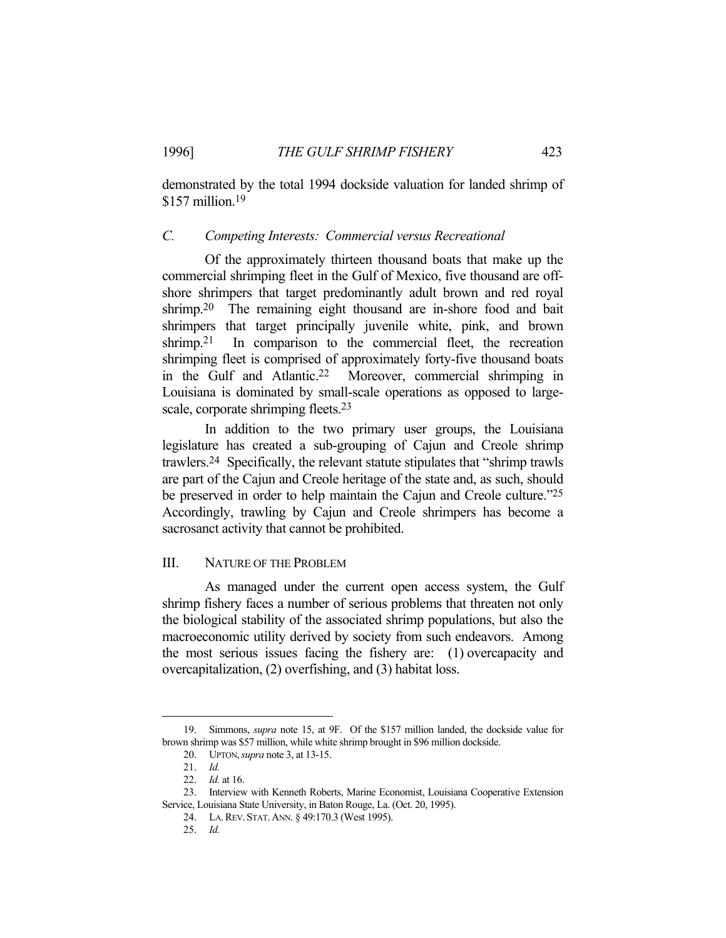demonstrated by the total 1994 dockside valuation for landed shrimp of \$157 million.19

# *C. Competing Interests: Commercial versus Recreational*

 Of the approximately thirteen thousand boats that make up the commercial shrimping fleet in the Gulf of Mexico, five thousand are offshore shrimpers that target predominantly adult brown and red royal shrimp.<sup>20</sup> The remaining eight thousand are in-shore food and bait shrimpers that target principally juvenile white, pink, and brown shrimp.<sup>21</sup> In comparison to the commercial fleet, the recreation shrimping fleet is comprised of approximately forty-five thousand boats in the Gulf and Atlantic.22 Moreover, commercial shrimping in Louisiana is dominated by small-scale operations as opposed to largescale, corporate shrimping fleets.<sup>23</sup>

 In addition to the two primary user groups, the Louisiana legislature has created a sub-grouping of Cajun and Creole shrimp trawlers.24 Specifically, the relevant statute stipulates that "shrimp trawls are part of the Cajun and Creole heritage of the state and, as such, should be preserved in order to help maintain the Cajun and Creole culture."25 Accordingly, trawling by Cajun and Creole shrimpers has become a sacrosanct activity that cannot be prohibited.

# III. NATURE OF THE PROBLEM

 As managed under the current open access system, the Gulf shrimp fishery faces a number of serious problems that threaten not only the biological stability of the associated shrimp populations, but also the macroeconomic utility derived by society from such endeavors. Among the most serious issues facing the fishery are: (1) overcapacity and overcapitalization, (2) overfishing, and (3) habitat loss.

 <sup>19.</sup> Simmons, *supra* note 15, at 9F. Of the \$157 million landed, the dockside value for brown shrimp was \$57 million, while white shrimp brought in \$96 million dockside.

 <sup>20.</sup> UPTON,*supra* note 3, at 13-15.

 <sup>21.</sup> *Id.*

 <sup>22.</sup> *Id.* at 16.

 <sup>23.</sup> Interview with Kenneth Roberts, Marine Economist, Louisiana Cooperative Extension Service, Louisiana State University, in Baton Rouge, La. (Oct. 20, 1995).

 <sup>24.</sup> LA.REV. STAT.ANN. § 49:170.3 (West 1995).

 <sup>25.</sup> *Id.*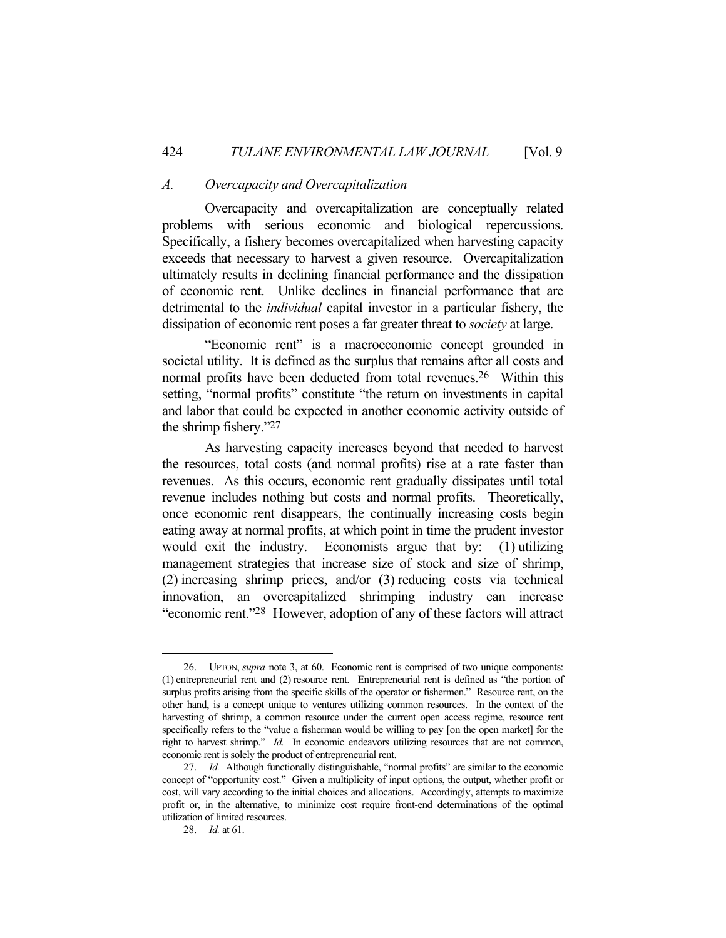#### *A. Overcapacity and Overcapitalization*

 Overcapacity and overcapitalization are conceptually related problems with serious economic and biological repercussions. Specifically, a fishery becomes overcapitalized when harvesting capacity exceeds that necessary to harvest a given resource. Overcapitalization ultimately results in declining financial performance and the dissipation of economic rent. Unlike declines in financial performance that are detrimental to the *individual* capital investor in a particular fishery, the dissipation of economic rent poses a far greater threat to *society* at large.

 "Economic rent" is a macroeconomic concept grounded in societal utility. It is defined as the surplus that remains after all costs and normal profits have been deducted from total revenues.26 Within this setting, "normal profits" constitute "the return on investments in capital and labor that could be expected in another economic activity outside of the shrimp fishery."27

 As harvesting capacity increases beyond that needed to harvest the resources, total costs (and normal profits) rise at a rate faster than revenues. As this occurs, economic rent gradually dissipates until total revenue includes nothing but costs and normal profits. Theoretically, once economic rent disappears, the continually increasing costs begin eating away at normal profits, at which point in time the prudent investor would exit the industry. Economists argue that by: (1) utilizing management strategies that increase size of stock and size of shrimp, (2) increasing shrimp prices, and/or (3) reducing costs via technical innovation, an overcapitalized shrimping industry can increase "economic rent."28 However, adoption of any of these factors will attract

 <sup>26.</sup> UPTON, *supra* note 3, at 60. Economic rent is comprised of two unique components: (1) entrepreneurial rent and (2) resource rent. Entrepreneurial rent is defined as "the portion of surplus profits arising from the specific skills of the operator or fishermen." Resource rent, on the other hand, is a concept unique to ventures utilizing common resources. In the context of the harvesting of shrimp, a common resource under the current open access regime, resource rent specifically refers to the "value a fisherman would be willing to pay [on the open market] for the right to harvest shrimp." *Id.* In economic endeavors utilizing resources that are not common, economic rent is solely the product of entrepreneurial rent.

 <sup>27.</sup> *Id.* Although functionally distinguishable, "normal profits" are similar to the economic concept of "opportunity cost." Given a multiplicity of input options, the output, whether profit or cost, will vary according to the initial choices and allocations. Accordingly, attempts to maximize profit or, in the alternative, to minimize cost require front-end determinations of the optimal utilization of limited resources.

 <sup>28.</sup> *Id.* at 61.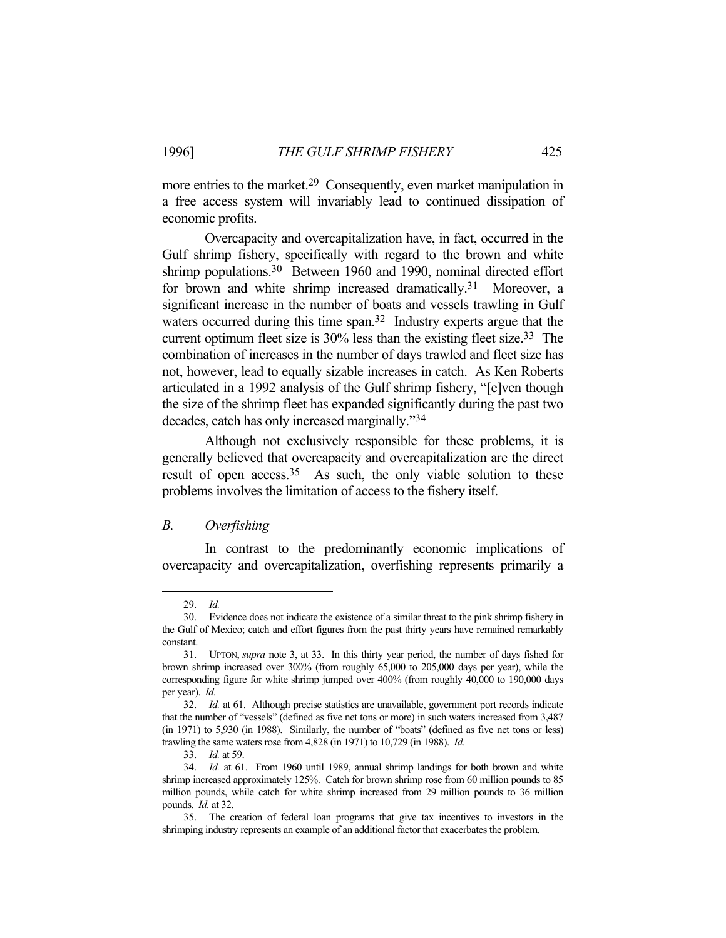more entries to the market.29 Consequently, even market manipulation in a free access system will invariably lead to continued dissipation of economic profits.

 Overcapacity and overcapitalization have, in fact, occurred in the Gulf shrimp fishery, specifically with regard to the brown and white shrimp populations.<sup>30</sup> Between 1960 and 1990, nominal directed effort for brown and white shrimp increased dramatically.<sup>31</sup> Moreover, a significant increase in the number of boats and vessels trawling in Gulf waters occurred during this time span.<sup>32</sup> Industry experts argue that the current optimum fleet size is 30% less than the existing fleet size.33 The combination of increases in the number of days trawled and fleet size has not, however, lead to equally sizable increases in catch. As Ken Roberts articulated in a 1992 analysis of the Gulf shrimp fishery, "[e]ven though the size of the shrimp fleet has expanded significantly during the past two decades, catch has only increased marginally."34

 Although not exclusively responsible for these problems, it is generally believed that overcapacity and overcapitalization are the direct result of open access.<sup>35</sup> As such, the only viable solution to these problems involves the limitation of access to the fishery itself.

#### *B. Overfishing*

 In contrast to the predominantly economic implications of overcapacity and overcapitalization, overfishing represents primarily a

 <sup>29.</sup> *Id.*

 <sup>30.</sup> Evidence does not indicate the existence of a similar threat to the pink shrimp fishery in the Gulf of Mexico; catch and effort figures from the past thirty years have remained remarkably constant.

 <sup>31.</sup> UPTON, *supra* note 3, at 33. In this thirty year period, the number of days fished for brown shrimp increased over 300% (from roughly 65,000 to 205,000 days per year), while the corresponding figure for white shrimp jumped over 400% (from roughly 40,000 to 190,000 days per year). *Id.*

 <sup>32.</sup> *Id.* at 61. Although precise statistics are unavailable, government port records indicate that the number of "vessels" (defined as five net tons or more) in such waters increased from 3,487 (in 1971) to 5,930 (in 1988). Similarly, the number of "boats" (defined as five net tons or less) trawling the same waters rose from 4,828 (in 1971) to 10,729 (in 1988). *Id.*

 <sup>33.</sup> *Id.* at 59.

 <sup>34.</sup> *Id.* at 61. From 1960 until 1989, annual shrimp landings for both brown and white shrimp increased approximately 125%. Catch for brown shrimp rose from 60 million pounds to 85 million pounds, while catch for white shrimp increased from 29 million pounds to 36 million pounds. *Id.* at 32.

 <sup>35.</sup> The creation of federal loan programs that give tax incentives to investors in the shrimping industry represents an example of an additional factor that exacerbates the problem.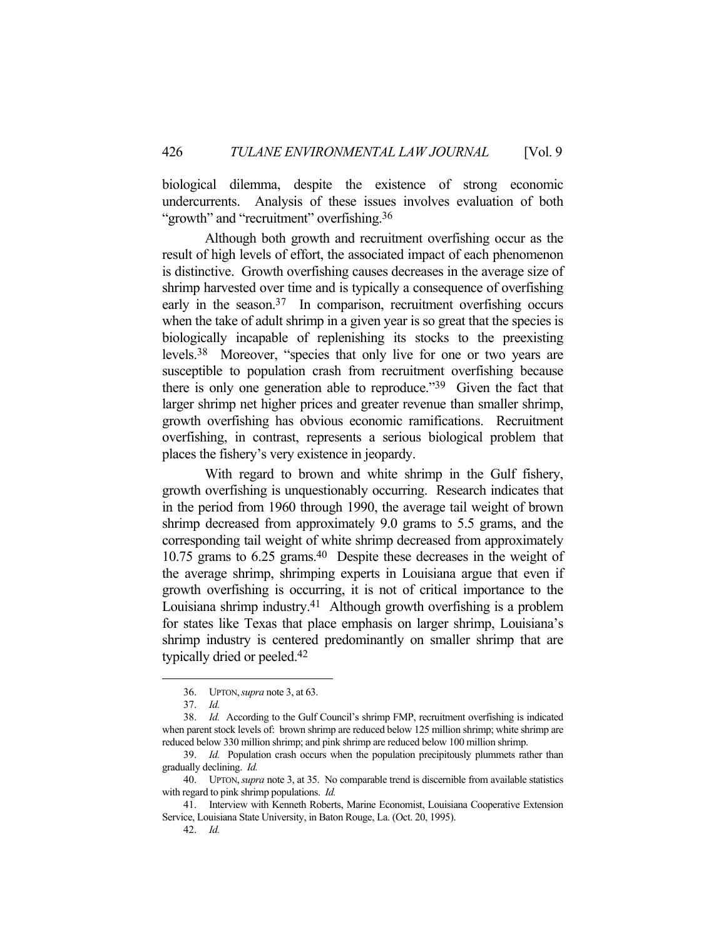biological dilemma, despite the existence of strong economic undercurrents. Analysis of these issues involves evaluation of both "growth" and "recruitment" overfishing.<sup>36</sup>

 Although both growth and recruitment overfishing occur as the result of high levels of effort, the associated impact of each phenomenon is distinctive. Growth overfishing causes decreases in the average size of shrimp harvested over time and is typically a consequence of overfishing early in the season.<sup>37</sup> In comparison, recruitment overfishing occurs when the take of adult shrimp in a given year is so great that the species is biologically incapable of replenishing its stocks to the preexisting levels.38 Moreover, "species that only live for one or two years are susceptible to population crash from recruitment overfishing because there is only one generation able to reproduce."39 Given the fact that larger shrimp net higher prices and greater revenue than smaller shrimp, growth overfishing has obvious economic ramifications. Recruitment overfishing, in contrast, represents a serious biological problem that places the fishery's very existence in jeopardy.

 With regard to brown and white shrimp in the Gulf fishery, growth overfishing is unquestionably occurring. Research indicates that in the period from 1960 through 1990, the average tail weight of brown shrimp decreased from approximately 9.0 grams to 5.5 grams, and the corresponding tail weight of white shrimp decreased from approximately 10.75 grams to 6.25 grams.40 Despite these decreases in the weight of the average shrimp, shrimping experts in Louisiana argue that even if growth overfishing is occurring, it is not of critical importance to the Louisiana shrimp industry.41 Although growth overfishing is a problem for states like Texas that place emphasis on larger shrimp, Louisiana's shrimp industry is centered predominantly on smaller shrimp that are typically dried or peeled.42

 <sup>36.</sup> UPTON,*supra* note 3, at 63.

 <sup>37.</sup> *Id.*

 <sup>38.</sup> *Id.* According to the Gulf Council's shrimp FMP, recruitment overfishing is indicated when parent stock levels of: brown shrimp are reduced below 125 million shrimp; white shrimp are reduced below 330 million shrimp; and pink shrimp are reduced below 100 million shrimp.

 <sup>39.</sup> *Id.* Population crash occurs when the population precipitously plummets rather than gradually declining. *Id.*

 <sup>40.</sup> UPTON,*supra* note 3, at 35. No comparable trend is discernible from available statistics with regard to pink shrimp populations. *Id.*

 <sup>41.</sup> Interview with Kenneth Roberts, Marine Economist, Louisiana Cooperative Extension Service, Louisiana State University, in Baton Rouge, La. (Oct. 20, 1995).

 <sup>42.</sup> *Id.*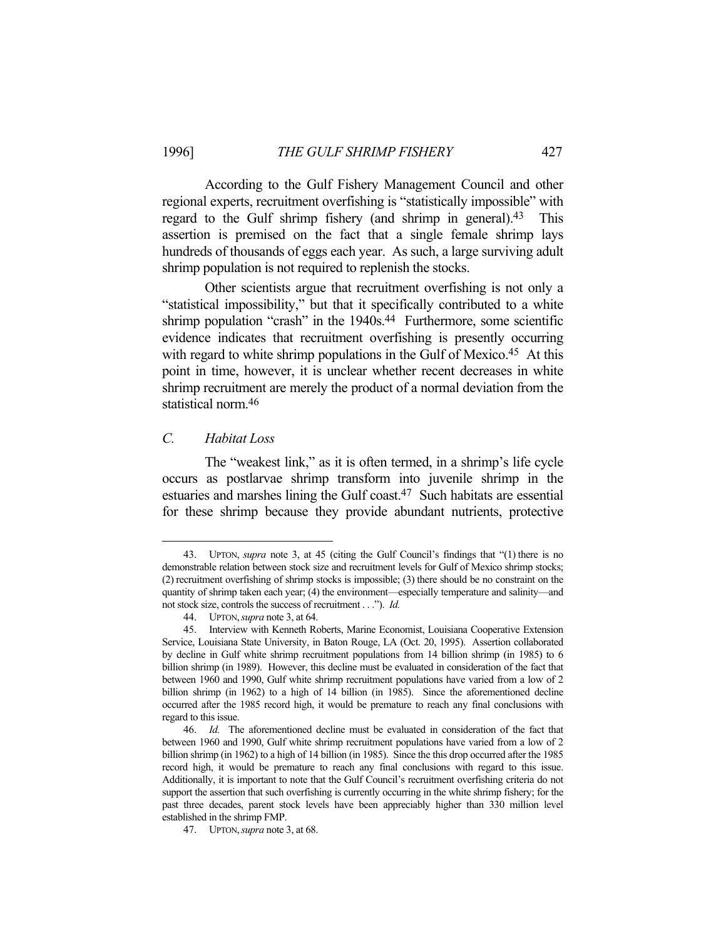According to the Gulf Fishery Management Council and other regional experts, recruitment overfishing is "statistically impossible" with regard to the Gulf shrimp fishery (and shrimp in general).43 This assertion is premised on the fact that a single female shrimp lays hundreds of thousands of eggs each year. As such, a large surviving adult shrimp population is not required to replenish the stocks.

 Other scientists argue that recruitment overfishing is not only a "statistical impossibility," but that it specifically contributed to a white shrimp population "crash" in the 1940s.<sup>44</sup> Furthermore, some scientific evidence indicates that recruitment overfishing is presently occurring with regard to white shrimp populations in the Gulf of Mexico.<sup>45</sup> At this point in time, however, it is unclear whether recent decreases in white shrimp recruitment are merely the product of a normal deviation from the statistical norm.46

#### *C. Habitat Loss*

1

 The "weakest link," as it is often termed, in a shrimp's life cycle occurs as postlarvae shrimp transform into juvenile shrimp in the estuaries and marshes lining the Gulf coast.<sup>47</sup> Such habitats are essential for these shrimp because they provide abundant nutrients, protective

 <sup>43.</sup> UPTON, *supra* note 3, at 45 (citing the Gulf Council's findings that "(1) there is no demonstrable relation between stock size and recruitment levels for Gulf of Mexico shrimp stocks; (2) recruitment overfishing of shrimp stocks is impossible; (3) there should be no constraint on the quantity of shrimp taken each year; (4) the environment—especially temperature and salinity—and not stock size, controls the success of recruitment . . ."). *Id.*

 <sup>44.</sup> UPTON,*supra* note 3, at 64.

 <sup>45.</sup> Interview with Kenneth Roberts, Marine Economist, Louisiana Cooperative Extension Service, Louisiana State University, in Baton Rouge, LA (Oct. 20, 1995). Assertion collaborated by decline in Gulf white shrimp recruitment populations from 14 billion shrimp (in 1985) to 6 billion shrimp (in 1989). However, this decline must be evaluated in consideration of the fact that between 1960 and 1990, Gulf white shrimp recruitment populations have varied from a low of 2 billion shrimp (in 1962) to a high of 14 billion (in 1985). Since the aforementioned decline occurred after the 1985 record high, it would be premature to reach any final conclusions with regard to this issue.

 <sup>46.</sup> *Id.* The aforementioned decline must be evaluated in consideration of the fact that between 1960 and 1990, Gulf white shrimp recruitment populations have varied from a low of 2 billion shrimp (in 1962) to a high of 14 billion (in 1985). Since the this drop occurred after the 1985 record high, it would be premature to reach any final conclusions with regard to this issue. Additionally, it is important to note that the Gulf Council's recruitment overfishing criteria do not support the assertion that such overfishing is currently occurring in the white shrimp fishery; for the past three decades, parent stock levels have been appreciably higher than 330 million level established in the shrimp FMP.

 <sup>47.</sup> UPTON,*supra* note 3, at 68.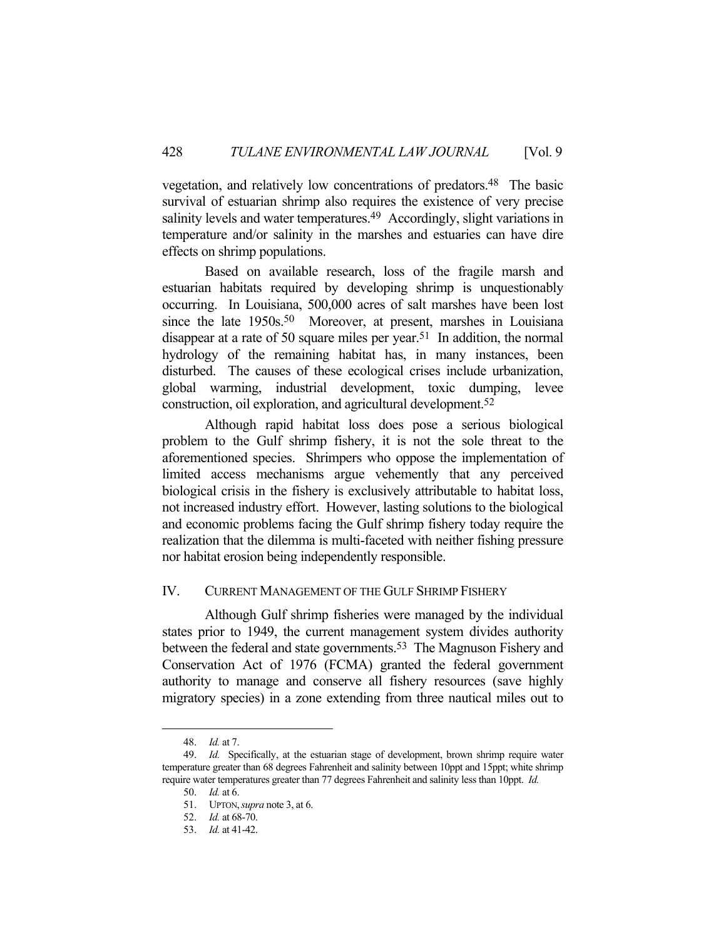vegetation, and relatively low concentrations of predators.48 The basic survival of estuarian shrimp also requires the existence of very precise salinity levels and water temperatures.<sup>49</sup> Accordingly, slight variations in temperature and/or salinity in the marshes and estuaries can have dire effects on shrimp populations.

 Based on available research, loss of the fragile marsh and estuarian habitats required by developing shrimp is unquestionably occurring. In Louisiana, 500,000 acres of salt marshes have been lost since the late 1950s.<sup>50</sup> Moreover, at present, marshes in Louisiana disappear at a rate of 50 square miles per year.<sup>51</sup> In addition, the normal hydrology of the remaining habitat has, in many instances, been disturbed. The causes of these ecological crises include urbanization, global warming, industrial development, toxic dumping, levee construction, oil exploration, and agricultural development.52

 Although rapid habitat loss does pose a serious biological problem to the Gulf shrimp fishery, it is not the sole threat to the aforementioned species. Shrimpers who oppose the implementation of limited access mechanisms argue vehemently that any perceived biological crisis in the fishery is exclusively attributable to habitat loss, not increased industry effort. However, lasting solutions to the biological and economic problems facing the Gulf shrimp fishery today require the realization that the dilemma is multi-faceted with neither fishing pressure nor habitat erosion being independently responsible.

#### IV. CURRENT MANAGEMENT OF THE GULF SHRIMP FISHERY

 Although Gulf shrimp fisheries were managed by the individual states prior to 1949, the current management system divides authority between the federal and state governments.<sup>53</sup> The Magnuson Fishery and Conservation Act of 1976 (FCMA) granted the federal government authority to manage and conserve all fishery resources (save highly migratory species) in a zone extending from three nautical miles out to

 <sup>48.</sup> *Id.* at 7.

 <sup>49.</sup> *Id.* Specifically, at the estuarian stage of development, brown shrimp require water temperature greater than 68 degrees Fahrenheit and salinity between 10ppt and 15ppt; white shrimp require water temperatures greater than 77 degrees Fahrenheit and salinity less than 10ppt. *Id.*

 <sup>50.</sup> *Id.* at 6.

 <sup>51.</sup> UPTON,*supra* note 3, at 6.

 <sup>52.</sup> *Id.* at 68-70.

 <sup>53.</sup> *Id.* at 41-42.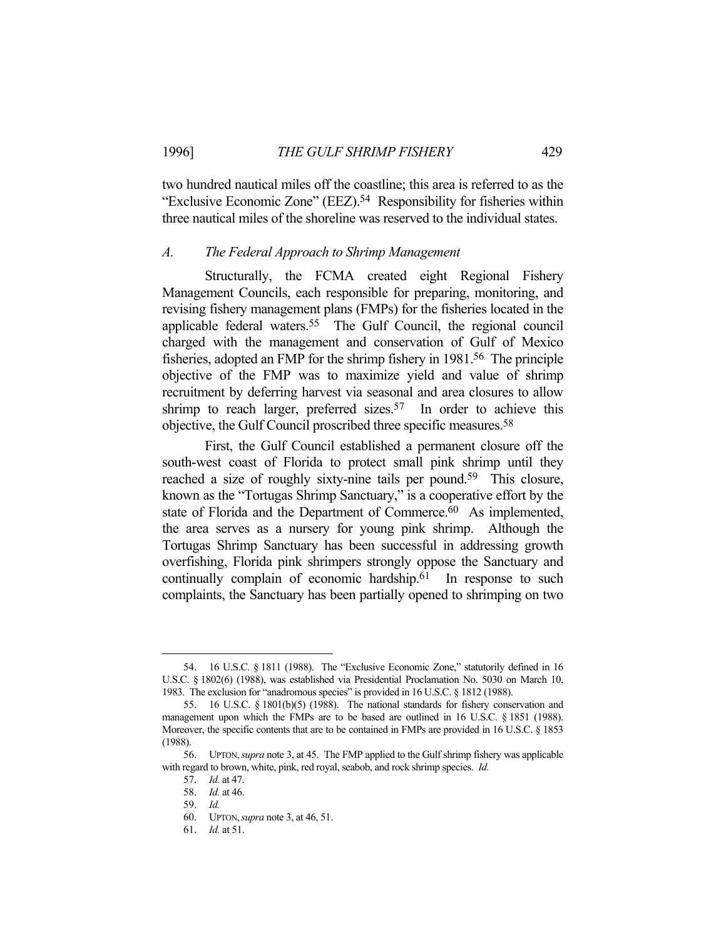two hundred nautical miles off the coastline; this area is referred to as the "Exclusive Economic Zone" (EEZ).54 Responsibility for fisheries within three nautical miles of the shoreline was reserved to the individual states.

#### *A. The Federal Approach to Shrimp Management*

 Structurally, the FCMA created eight Regional Fishery Management Councils, each responsible for preparing, monitoring, and revising fishery management plans (FMPs) for the fisheries located in the applicable federal waters.55 The Gulf Council, the regional council charged with the management and conservation of Gulf of Mexico fisheries, adopted an FMP for the shrimp fishery in 1981.56 The principle objective of the FMP was to maximize yield and value of shrimp recruitment by deferring harvest via seasonal and area closures to allow shrimp to reach larger, preferred sizes.<sup>57</sup> In order to achieve this objective, the Gulf Council proscribed three specific measures.58

 First, the Gulf Council established a permanent closure off the south-west coast of Florida to protect small pink shrimp until they reached a size of roughly sixty-nine tails per pound.<sup>59</sup> This closure, known as the "Tortugas Shrimp Sanctuary," is a cooperative effort by the state of Florida and the Department of Commerce.<sup>60</sup> As implemented, the area serves as a nursery for young pink shrimp. Although the Tortugas Shrimp Sanctuary has been successful in addressing growth overfishing, Florida pink shrimpers strongly oppose the Sanctuary and continually complain of economic hardship.<sup>61</sup> In response to such complaints, the Sanctuary has been partially opened to shrimping on two

 <sup>54. 16</sup> U.S.C. § 1811 (1988). The "Exclusive Economic Zone," statutorily defined in 16 U.S.C. § 1802(6) (1988), was established via Presidential Proclamation No. 5030 on March 10, 1983. The exclusion for "anadromous species" is provided in 16 U.S.C. § 1812 (1988).

 <sup>55. 16</sup> U.S.C. § 1801(b)(5) (1988). The national standards for fishery conservation and management upon which the FMPs are to be based are outlined in 16 U.S.C. § 1851 (1988). Moreover, the specific contents that are to be contained in FMPs are provided in 16 U.S.C. § 1853 (1988).

 <sup>56.</sup> UPTON,*supra* note 3, at 45. The FMP applied to the Gulf shrimp fishery was applicable with regard to brown, white, pink, red royal, seabob, and rock shrimp species. *Id.*

 <sup>57.</sup> *Id.* at 47.

 <sup>58.</sup> *Id.* at 46.

 <sup>59.</sup> *Id.*

 <sup>60.</sup> UPTON,*supra* note 3, at 46, 51.

 <sup>61.</sup> *Id.* at 51.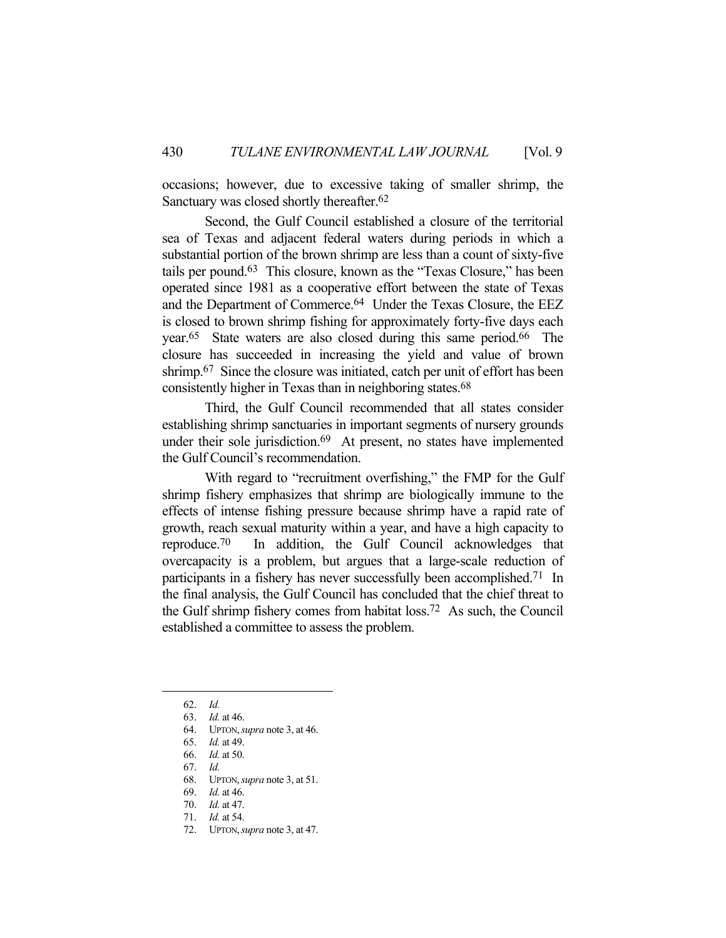occasions; however, due to excessive taking of smaller shrimp, the Sanctuary was closed shortly thereafter.<sup>62</sup>

 Second, the Gulf Council established a closure of the territorial sea of Texas and adjacent federal waters during periods in which a substantial portion of the brown shrimp are less than a count of sixty-five tails per pound.63 This closure, known as the "Texas Closure," has been operated since 1981 as a cooperative effort between the state of Texas and the Department of Commerce.<sup>64</sup> Under the Texas Closure, the EEZ is closed to brown shrimp fishing for approximately forty-five days each year.65 State waters are also closed during this same period.66 The closure has succeeded in increasing the yield and value of brown shrimp.<sup>67</sup> Since the closure was initiated, catch per unit of effort has been consistently higher in Texas than in neighboring states.<sup>68</sup>

 Third, the Gulf Council recommended that all states consider establishing shrimp sanctuaries in important segments of nursery grounds under their sole jurisdiction.<sup>69</sup> At present, no states have implemented the Gulf Council's recommendation.

 With regard to "recruitment overfishing," the FMP for the Gulf shrimp fishery emphasizes that shrimp are biologically immune to the effects of intense fishing pressure because shrimp have a rapid rate of growth, reach sexual maturity within a year, and have a high capacity to reproduce.70 In addition, the Gulf Council acknowledges that overcapacity is a problem, but argues that a large-scale reduction of participants in a fishery has never successfully been accomplished.71 In the final analysis, the Gulf Council has concluded that the chief threat to the Gulf shrimp fishery comes from habitat loss.72 As such, the Council established a committee to assess the problem.

 <sup>62.</sup> *Id.*

 <sup>63.</sup> *Id.* at 46.

 <sup>64.</sup> UPTON,*supra* note 3, at 46.

 <sup>65.</sup> *Id.* at 49.

 <sup>66.</sup> *Id.* at 50.

 <sup>67.</sup> *Id.*

 <sup>68.</sup> UPTON,*supra* note 3, at 51.

 <sup>69.</sup> *Id.* at 46.

 <sup>70.</sup> *Id.* at 47.

 <sup>71.</sup> *Id.* at 54.

 <sup>72.</sup> UPTON,*supra* note 3, at 47.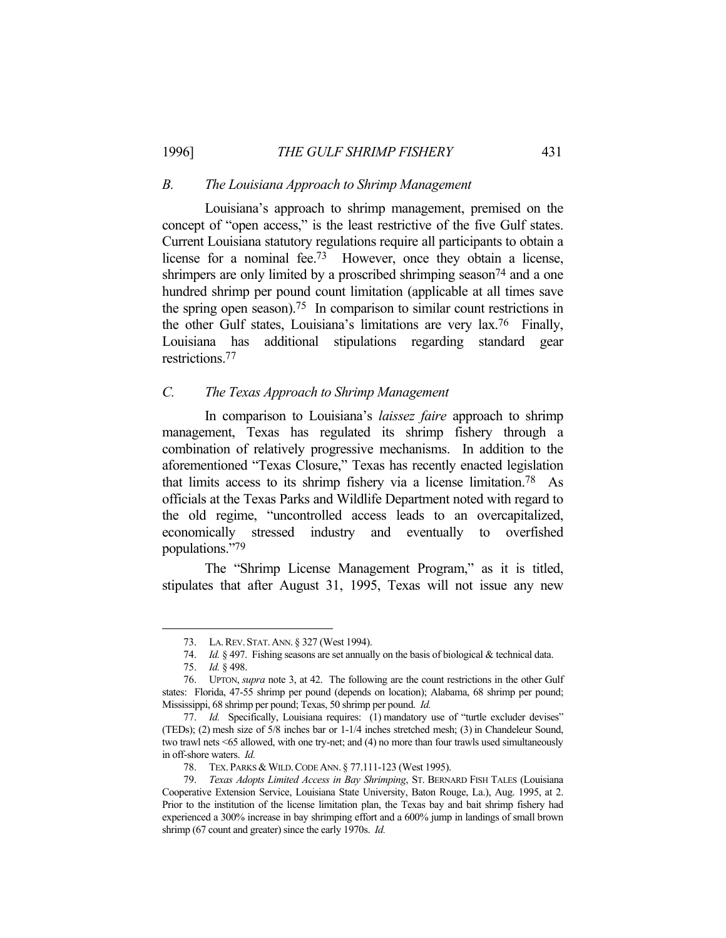#### *B. The Louisiana Approach to Shrimp Management*

 Louisiana's approach to shrimp management, premised on the concept of "open access," is the least restrictive of the five Gulf states. Current Louisiana statutory regulations require all participants to obtain a license for a nominal fee.73 However, once they obtain a license, shrimpers are only limited by a proscribed shrimping season<sup>74</sup> and a one hundred shrimp per pound count limitation (applicable at all times save the spring open season).75 In comparison to similar count restrictions in the other Gulf states, Louisiana's limitations are very lax.76 Finally, Louisiana has additional stipulations regarding standard gear restrictions.77

# *C. The Texas Approach to Shrimp Management*

 In comparison to Louisiana's *laissez faire* approach to shrimp management, Texas has regulated its shrimp fishery through a combination of relatively progressive mechanisms. In addition to the aforementioned "Texas Closure," Texas has recently enacted legislation that limits access to its shrimp fishery via a license limitation.78 As officials at the Texas Parks and Wildlife Department noted with regard to the old regime, "uncontrolled access leads to an overcapitalized, economically stressed industry and eventually to overfished populations."79

 The "Shrimp License Management Program," as it is titled, stipulates that after August 31, 1995, Texas will not issue any new

 <sup>73.</sup> LA.REV. STAT.ANN. § 327 (West 1994).

 <sup>74.</sup> *Id.* § 497. Fishing seasons are set annually on the basis of biological & technical data.

 <sup>75.</sup> *Id.* § 498.

 <sup>76.</sup> UPTON, *supra* note 3, at 42. The following are the count restrictions in the other Gulf states: Florida, 47-55 shrimp per pound (depends on location); Alabama, 68 shrimp per pound; Mississippi, 68 shrimp per pound; Texas, 50 shrimp per pound. *Id.*

<sup>77.</sup> *Id.* Specifically, Louisiana requires: (1) mandatory use of "turtle excluder devises" (TEDs); (2) mesh size of 5/8 inches bar or 1-1/4 inches stretched mesh; (3) in Chandeleur Sound, two trawl nets <65 allowed, with one try-net; and (4) no more than four trawls used simultaneously in off-shore waters. *Id.*

<sup>78.</sup> TEX. PARKS & WILD. CODE ANN. § 77.111-123 (West 1995).

 <sup>79.</sup> *Texas Adopts Limited Access in Bay Shrimping*, ST. BERNARD FISH TALES (Louisiana Cooperative Extension Service, Louisiana State University, Baton Rouge, La.), Aug. 1995, at 2. Prior to the institution of the license limitation plan, the Texas bay and bait shrimp fishery had experienced a 300% increase in bay shrimping effort and a 600% jump in landings of small brown shrimp (67 count and greater) since the early 1970s. *Id.*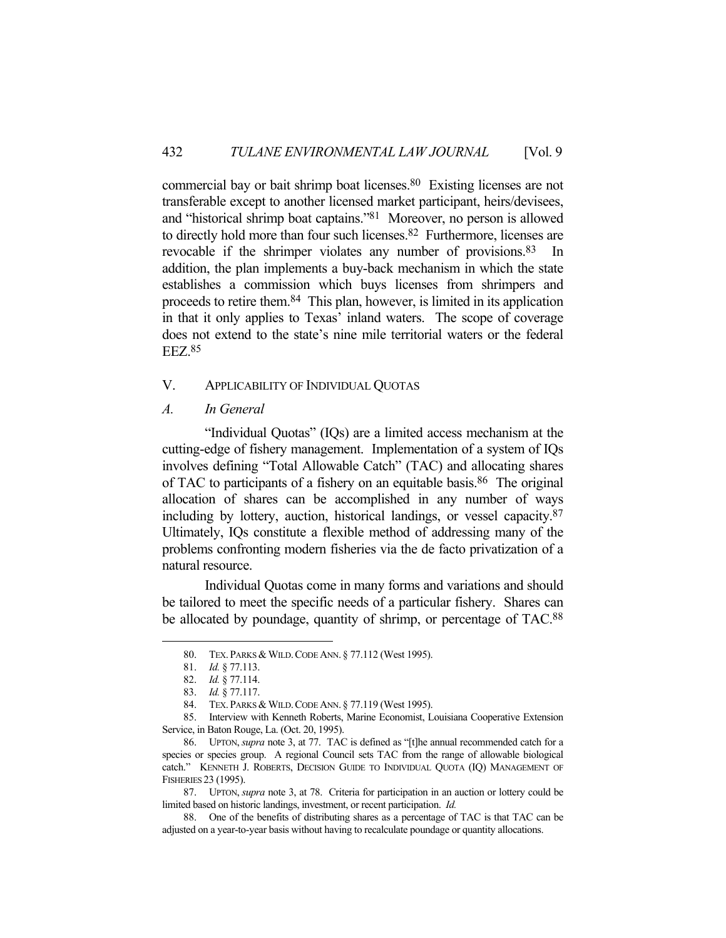commercial bay or bait shrimp boat licenses.80 Existing licenses are not transferable except to another licensed market participant, heirs/devisees, and "historical shrimp boat captains."81 Moreover, no person is allowed to directly hold more than four such licenses.<sup>82</sup> Furthermore, licenses are revocable if the shrimper violates any number of provisions.83 In addition, the plan implements a buy-back mechanism in which the state establishes a commission which buys licenses from shrimpers and proceeds to retire them.84 This plan, however, is limited in its application in that it only applies to Texas' inland waters. The scope of coverage does not extend to the state's nine mile territorial waters or the federal EEZ.85

## V. APPLICABILITY OF INDIVIDUAL QUOTAS

*A. In General* 

 "Individual Quotas" (IQs) are a limited access mechanism at the cutting-edge of fishery management. Implementation of a system of IQs involves defining "Total Allowable Catch" (TAC) and allocating shares of TAC to participants of a fishery on an equitable basis.86 The original allocation of shares can be accomplished in any number of ways including by lottery, auction, historical landings, or vessel capacity.87 Ultimately, IQs constitute a flexible method of addressing many of the problems confronting modern fisheries via the de facto privatization of a natural resource.

 Individual Quotas come in many forms and variations and should be tailored to meet the specific needs of a particular fishery. Shares can be allocated by poundage, quantity of shrimp, or percentage of TAC.<sup>88</sup>

<sup>80.</sup> TEX. PARKS & WILD. CODE ANN. § 77.112 (West 1995).

 <sup>81.</sup> *Id.* § 77.113.

 <sup>82.</sup> *Id.* § 77.114.

 <sup>83.</sup> *Id.* § 77.117.

<sup>84.</sup> TEX. PARKS & WILD. CODE ANN. § 77.119 (West 1995).

 <sup>85.</sup> Interview with Kenneth Roberts, Marine Economist, Louisiana Cooperative Extension Service, in Baton Rouge, La. (Oct. 20, 1995).

 <sup>86.</sup> UPTON, *supra* note 3, at 77. TAC is defined as "[t]he annual recommended catch for a species or species group. A regional Council sets TAC from the range of allowable biological catch." KENNETH J. ROBERTS, DECISION GUIDE TO INDIVIDUAL QUOTA (IQ) MANAGEMENT OF FISHERIES 23 (1995).

 <sup>87.</sup> UPTON, *supra* note 3, at 78. Criteria for participation in an auction or lottery could be limited based on historic landings, investment, or recent participation. *Id.*

 <sup>88.</sup> One of the benefits of distributing shares as a percentage of TAC is that TAC can be adjusted on a year-to-year basis without having to recalculate poundage or quantity allocations.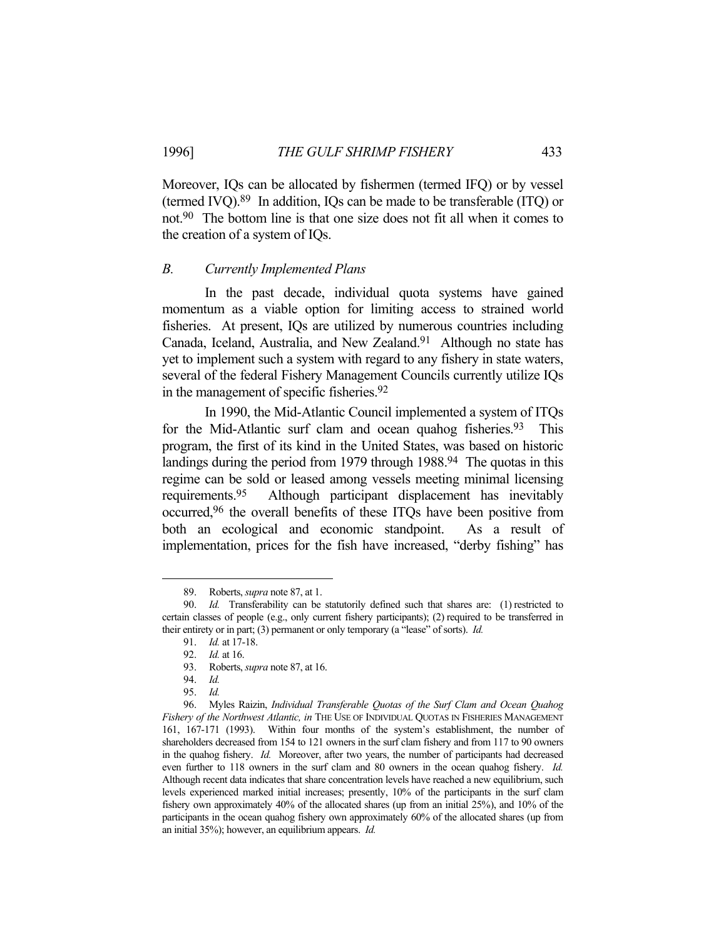Moreover, IQs can be allocated by fishermen (termed IFQ) or by vessel (termed IVQ).89 In addition, IQs can be made to be transferable (ITQ) or not.90 The bottom line is that one size does not fit all when it comes to

#### *B. Currently Implemented Plans*

the creation of a system of IQs.

 In the past decade, individual quota systems have gained momentum as a viable option for limiting access to strained world fisheries. At present, IQs are utilized by numerous countries including Canada, Iceland, Australia, and New Zealand.<sup>91</sup> Although no state has yet to implement such a system with regard to any fishery in state waters, several of the federal Fishery Management Councils currently utilize IQs in the management of specific fisheries.92

 In 1990, the Mid-Atlantic Council implemented a system of ITQs for the Mid-Atlantic surf clam and ocean quahog fisheries.<sup>93</sup> This program, the first of its kind in the United States, was based on historic landings during the period from 1979 through 1988.<sup>94</sup> The quotas in this regime can be sold or leased among vessels meeting minimal licensing requirements.95 Although participant displacement has inevitably occurred,96 the overall benefits of these ITQs have been positive from both an ecological and economic standpoint. As a result of implementation, prices for the fish have increased, "derby fishing" has

 <sup>89.</sup> Roberts, *supra* note 87, at 1.

 <sup>90.</sup> *Id.* Transferability can be statutorily defined such that shares are: (1) restricted to certain classes of people (e.g., only current fishery participants); (2) required to be transferred in their entirety or in part; (3) permanent or only temporary (a "lease" of sorts). *Id.*

 <sup>91.</sup> *Id.* at 17-18.

 <sup>92.</sup> *Id.* at 16.

 <sup>93.</sup> Roberts, *supra* note 87, at 16.

 <sup>94.</sup> *Id.*

 <sup>95.</sup> *Id.*

 <sup>96.</sup> Myles Raizin, *Individual Transferable Quotas of the Surf Clam and Ocean Quahog Fishery of the Northwest Atlantic, in* THE USE OF INDIVIDUAL QUOTAS IN FISHERIES MANAGEMENT 161, 167-171 (1993). Within four months of the system's establishment, the number of shareholders decreased from 154 to 121 owners in the surf clam fishery and from 117 to 90 owners in the quahog fishery. *Id.* Moreover, after two years, the number of participants had decreased even further to 118 owners in the surf clam and 80 owners in the ocean quahog fishery. *Id.* Although recent data indicates that share concentration levels have reached a new equilibrium, such levels experienced marked initial increases; presently, 10% of the participants in the surf clam fishery own approximately 40% of the allocated shares (up from an initial 25%), and 10% of the participants in the ocean quahog fishery own approximately 60% of the allocated shares (up from an initial 35%); however, an equilibrium appears. *Id.*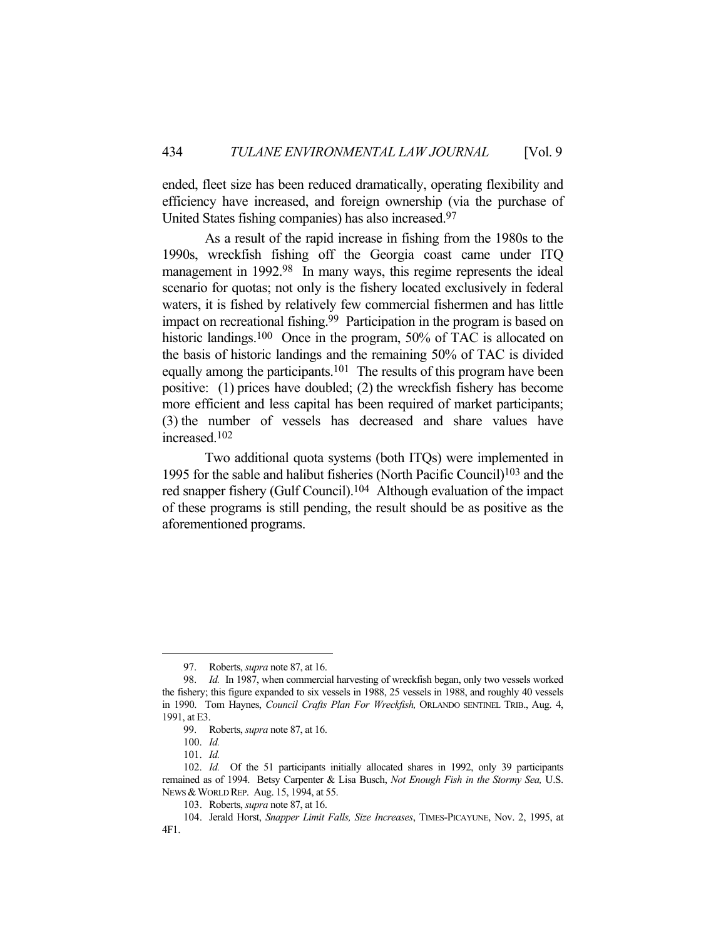ended, fleet size has been reduced dramatically, operating flexibility and efficiency have increased, and foreign ownership (via the purchase of United States fishing companies) has also increased.97

 As a result of the rapid increase in fishing from the 1980s to the 1990s, wreckfish fishing off the Georgia coast came under ITQ management in 1992.<sup>98</sup> In many ways, this regime represents the ideal scenario for quotas; not only is the fishery located exclusively in federal waters, it is fished by relatively few commercial fishermen and has little impact on recreational fishing.<sup>99</sup> Participation in the program is based on historic landings.<sup>100</sup> Once in the program, 50% of TAC is allocated on the basis of historic landings and the remaining 50% of TAC is divided equally among the participants.<sup>101</sup> The results of this program have been positive: (1) prices have doubled; (2) the wreckfish fishery has become more efficient and less capital has been required of market participants; (3) the number of vessels has decreased and share values have increased.102

 Two additional quota systems (both ITQs) were implemented in 1995 for the sable and halibut fisheries (North Pacific Council)103 and the red snapper fishery (Gulf Council).104 Although evaluation of the impact of these programs is still pending, the result should be as positive as the aforementioned programs.

 <sup>97.</sup> Roberts, *supra* note 87, at 16.

 <sup>98.</sup> *Id.* In 1987, when commercial harvesting of wreckfish began, only two vessels worked the fishery; this figure expanded to six vessels in 1988, 25 vessels in 1988, and roughly 40 vessels in 1990. Tom Haynes, *Council Crafts Plan For Wreckfish,* ORLANDO SENTINEL TRIB., Aug. 4, 1991, at E3.

 <sup>99.</sup> Roberts, *supra* note 87, at 16.

 <sup>100.</sup> *Id.*

 <sup>101.</sup> *Id.*

 <sup>102.</sup> *Id.* Of the 51 participants initially allocated shares in 1992, only 39 participants remained as of 1994. Betsy Carpenter & Lisa Busch, *Not Enough Fish in the Stormy Sea,* U.S. NEWS & WORLD REP. Aug. 15, 1994, at 55.

 <sup>103.</sup> Roberts, *supra* note 87, at 16.

 <sup>104.</sup> Jerald Horst, *Snapper Limit Falls, Size Increases*, TIMES-PICAYUNE, Nov. 2, 1995, at 4F1.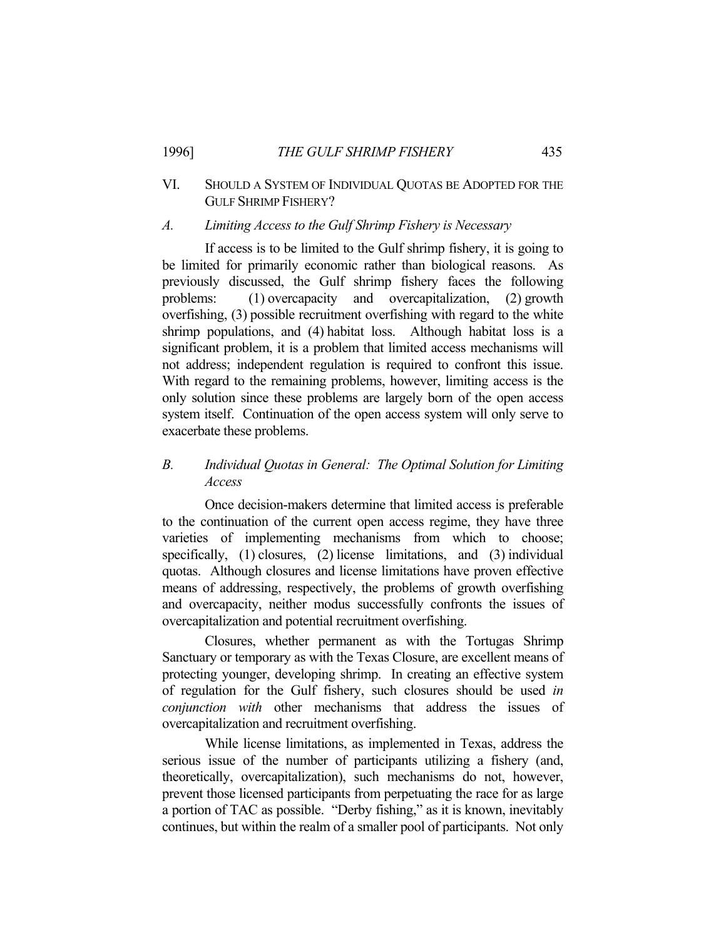# VI. SHOULD A SYSTEM OF INDIVIDUAL QUOTAS BE ADOPTED FOR THE GULF SHRIMP FISHERY?

# *A. Limiting Access to the Gulf Shrimp Fishery is Necessary*

 If access is to be limited to the Gulf shrimp fishery, it is going to be limited for primarily economic rather than biological reasons. As previously discussed, the Gulf shrimp fishery faces the following problems: (1) overcapacity and overcapitalization, (2) growth overfishing, (3) possible recruitment overfishing with regard to the white shrimp populations, and (4) habitat loss. Although habitat loss is a significant problem, it is a problem that limited access mechanisms will not address; independent regulation is required to confront this issue. With regard to the remaining problems, however, limiting access is the only solution since these problems are largely born of the open access system itself. Continuation of the open access system will only serve to exacerbate these problems.

# *B. Individual Quotas in General: The Optimal Solution for Limiting Access*

 Once decision-makers determine that limited access is preferable to the continuation of the current open access regime, they have three varieties of implementing mechanisms from which to choose; specifically, (1) closures, (2) license limitations, and (3) individual quotas. Although closures and license limitations have proven effective means of addressing, respectively, the problems of growth overfishing and overcapacity, neither modus successfully confronts the issues of overcapitalization and potential recruitment overfishing.

 Closures, whether permanent as with the Tortugas Shrimp Sanctuary or temporary as with the Texas Closure, are excellent means of protecting younger, developing shrimp. In creating an effective system of regulation for the Gulf fishery, such closures should be used *in conjunction with* other mechanisms that address the issues of overcapitalization and recruitment overfishing.

 While license limitations, as implemented in Texas, address the serious issue of the number of participants utilizing a fishery (and, theoretically, overcapitalization), such mechanisms do not, however, prevent those licensed participants from perpetuating the race for as large a portion of TAC as possible. "Derby fishing," as it is known, inevitably continues, but within the realm of a smaller pool of participants. Not only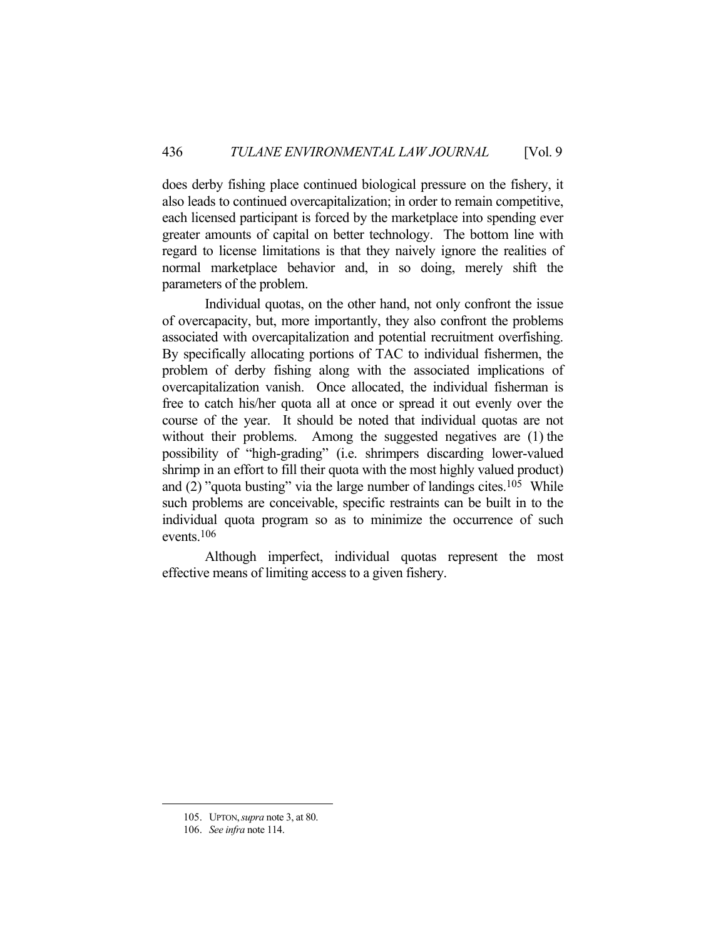does derby fishing place continued biological pressure on the fishery, it also leads to continued overcapitalization; in order to remain competitive, each licensed participant is forced by the marketplace into spending ever greater amounts of capital on better technology. The bottom line with regard to license limitations is that they naively ignore the realities of normal marketplace behavior and, in so doing, merely shift the parameters of the problem.

 Individual quotas, on the other hand, not only confront the issue of overcapacity, but, more importantly, they also confront the problems associated with overcapitalization and potential recruitment overfishing. By specifically allocating portions of TAC to individual fishermen, the problem of derby fishing along with the associated implications of overcapitalization vanish. Once allocated, the individual fisherman is free to catch his/her quota all at once or spread it out evenly over the course of the year. It should be noted that individual quotas are not without their problems. Among the suggested negatives are (1) the possibility of "high-grading" (i.e. shrimpers discarding lower-valued shrimp in an effort to fill their quota with the most highly valued product) and  $(2)$  "quota busting" via the large number of landings cites.<sup>105</sup> While such problems are conceivable, specific restraints can be built in to the individual quota program so as to minimize the occurrence of such events.106

 Although imperfect, individual quotas represent the most effective means of limiting access to a given fishery.

 <sup>105.</sup> UPTON,*supra* note 3, at 80.

 <sup>106.</sup> *See infra* note 114.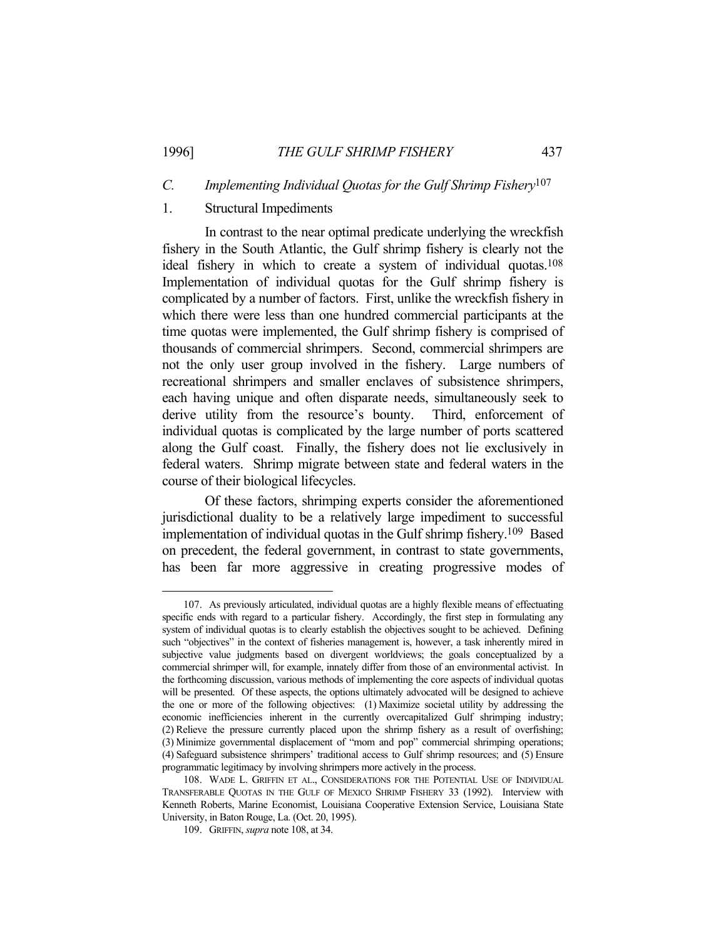#### *C. Implementing Individual Quotas for the Gulf Shrimp Fishery*107

## 1. Structural Impediments

 In contrast to the near optimal predicate underlying the wreckfish fishery in the South Atlantic, the Gulf shrimp fishery is clearly not the ideal fishery in which to create a system of individual quotas.108 Implementation of individual quotas for the Gulf shrimp fishery is complicated by a number of factors. First, unlike the wreckfish fishery in which there were less than one hundred commercial participants at the time quotas were implemented, the Gulf shrimp fishery is comprised of thousands of commercial shrimpers. Second, commercial shrimpers are not the only user group involved in the fishery. Large numbers of recreational shrimpers and smaller enclaves of subsistence shrimpers, each having unique and often disparate needs, simultaneously seek to derive utility from the resource's bounty. Third, enforcement of individual quotas is complicated by the large number of ports scattered along the Gulf coast. Finally, the fishery does not lie exclusively in federal waters. Shrimp migrate between state and federal waters in the course of their biological lifecycles.

 Of these factors, shrimping experts consider the aforementioned jurisdictional duality to be a relatively large impediment to successful implementation of individual quotas in the Gulf shrimp fishery.109 Based on precedent, the federal government, in contrast to state governments, has been far more aggressive in creating progressive modes of

 <sup>107.</sup> As previously articulated, individual quotas are a highly flexible means of effectuating specific ends with regard to a particular fishery. Accordingly, the first step in formulating any system of individual quotas is to clearly establish the objectives sought to be achieved. Defining such "objectives" in the context of fisheries management is, however, a task inherently mired in subjective value judgments based on divergent worldviews; the goals conceptualized by a commercial shrimper will, for example, innately differ from those of an environmental activist. In the forthcoming discussion, various methods of implementing the core aspects of individual quotas will be presented. Of these aspects, the options ultimately advocated will be designed to achieve the one or more of the following objectives: (1) Maximize societal utility by addressing the economic inefficiencies inherent in the currently overcapitalized Gulf shrimping industry; (2) Relieve the pressure currently placed upon the shrimp fishery as a result of overfishing; (3) Minimize governmental displacement of "mom and pop" commercial shrimping operations; (4) Safeguard subsistence shrimpers' traditional access to Gulf shrimp resources; and (5) Ensure programmatic legitimacy by involving shrimpers more actively in the process.

 <sup>108.</sup> WADE L. GRIFFIN ET AL., CONSIDERATIONS FOR THE POTENTIAL USE OF INDIVIDUAL TRANSFERABLE QUOTAS IN THE GULF OF MEXICO SHRIMP FISHERY 33 (1992). Interview with Kenneth Roberts, Marine Economist, Louisiana Cooperative Extension Service, Louisiana State University, in Baton Rouge, La. (Oct. 20, 1995).

 <sup>109.</sup> GRIFFIN, *supra* note 108, at 34.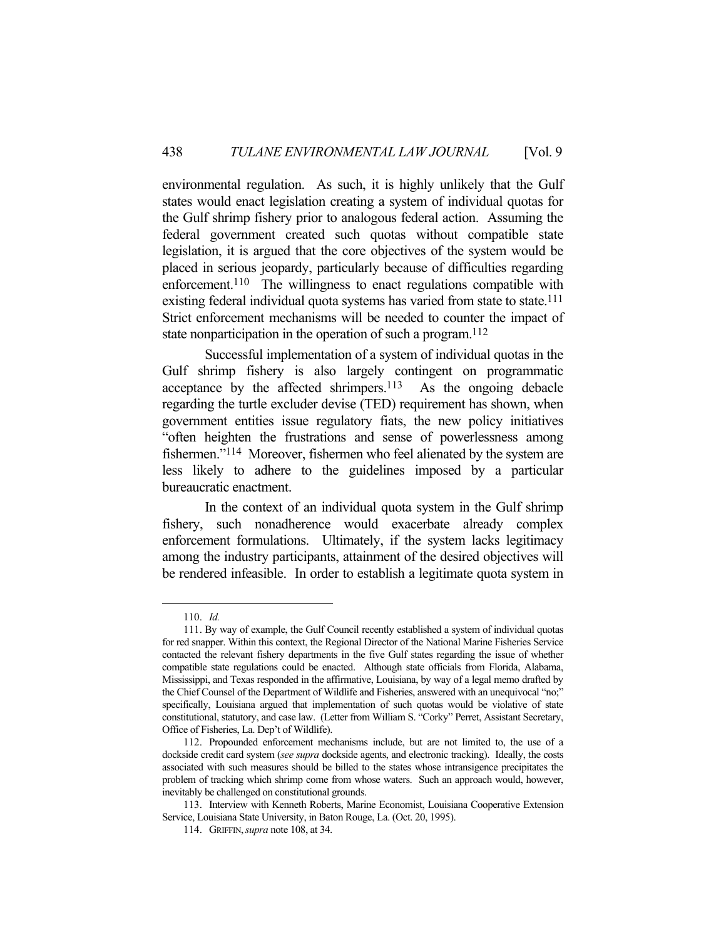environmental regulation. As such, it is highly unlikely that the Gulf states would enact legislation creating a system of individual quotas for the Gulf shrimp fishery prior to analogous federal action. Assuming the federal government created such quotas without compatible state legislation, it is argued that the core objectives of the system would be placed in serious jeopardy, particularly because of difficulties regarding enforcement.<sup>110</sup> The willingness to enact regulations compatible with existing federal individual quota systems has varied from state to state.<sup>111</sup> Strict enforcement mechanisms will be needed to counter the impact of state nonparticipation in the operation of such a program.<sup>112</sup>

 Successful implementation of a system of individual quotas in the Gulf shrimp fishery is also largely contingent on programmatic acceptance by the affected shrimpers.113 As the ongoing debacle regarding the turtle excluder devise (TED) requirement has shown, when government entities issue regulatory fiats, the new policy initiatives "often heighten the frustrations and sense of powerlessness among fishermen."114 Moreover, fishermen who feel alienated by the system are less likely to adhere to the guidelines imposed by a particular bureaucratic enactment.

 In the context of an individual quota system in the Gulf shrimp fishery, such nonadherence would exacerbate already complex enforcement formulations. Ultimately, if the system lacks legitimacy among the industry participants, attainment of the desired objectives will be rendered infeasible. In order to establish a legitimate quota system in

 <sup>110.</sup> *Id.*

 <sup>111.</sup> By way of example, the Gulf Council recently established a system of individual quotas for red snapper. Within this context, the Regional Director of the National Marine Fisheries Service contacted the relevant fishery departments in the five Gulf states regarding the issue of whether compatible state regulations could be enacted. Although state officials from Florida, Alabama, Mississippi, and Texas responded in the affirmative, Louisiana, by way of a legal memo drafted by the Chief Counsel of the Department of Wildlife and Fisheries, answered with an unequivocal "no;" specifically, Louisiana argued that implementation of such quotas would be violative of state constitutional, statutory, and case law. (Letter from William S. "Corky" Perret, Assistant Secretary, Office of Fisheries, La. Dep't of Wildlife).

 <sup>112.</sup> Propounded enforcement mechanisms include, but are not limited to, the use of a dockside credit card system (*see supra* dockside agents, and electronic tracking). Ideally, the costs associated with such measures should be billed to the states whose intransigence precipitates the problem of tracking which shrimp come from whose waters. Such an approach would, however, inevitably be challenged on constitutional grounds.

 <sup>113.</sup> Interview with Kenneth Roberts, Marine Economist, Louisiana Cooperative Extension Service, Louisiana State University, in Baton Rouge, La. (Oct. 20, 1995).

 <sup>114.</sup> GRIFFIN,*supra* note 108, at 34.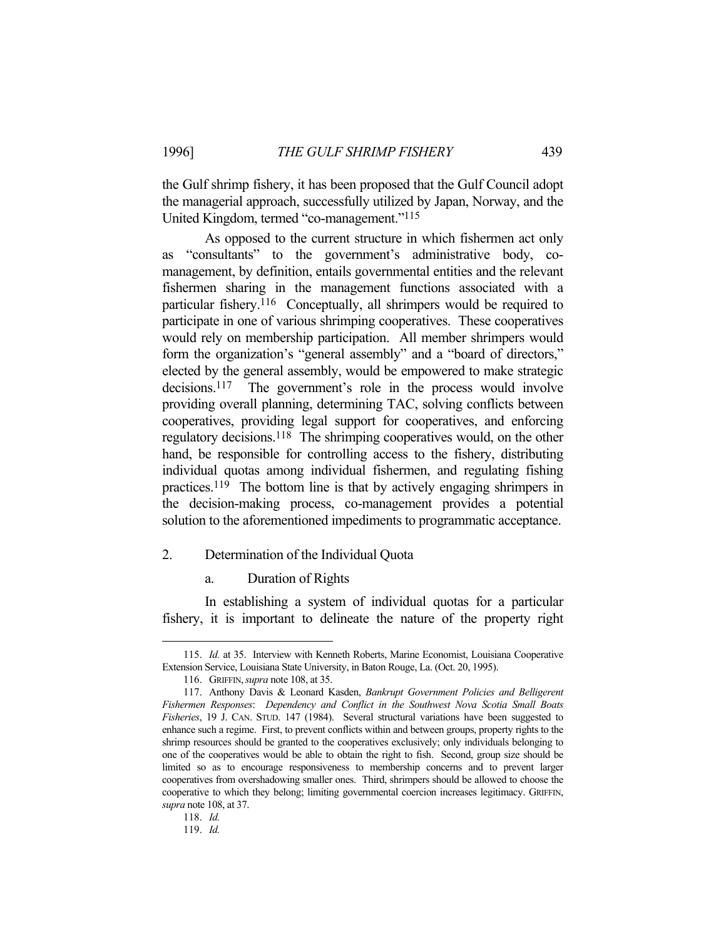the Gulf shrimp fishery, it has been proposed that the Gulf Council adopt the managerial approach, successfully utilized by Japan, Norway, and the United Kingdom, termed "co-management."115

 As opposed to the current structure in which fishermen act only as "consultants" to the government's administrative body, comanagement, by definition, entails governmental entities and the relevant fishermen sharing in the management functions associated with a particular fishery.116 Conceptually, all shrimpers would be required to participate in one of various shrimping cooperatives. These cooperatives would rely on membership participation. All member shrimpers would form the organization's "general assembly" and a "board of directors," elected by the general assembly, would be empowered to make strategic decisions.117 The government's role in the process would involve providing overall planning, determining TAC, solving conflicts between cooperatives, providing legal support for cooperatives, and enforcing regulatory decisions.118 The shrimping cooperatives would, on the other hand, be responsible for controlling access to the fishery, distributing individual quotas among individual fishermen, and regulating fishing practices.119 The bottom line is that by actively engaging shrimpers in the decision-making process, co-management provides a potential solution to the aforementioned impediments to programmatic acceptance.

## 2. Determination of the Individual Quota

a. Duration of Rights

 In establishing a system of individual quotas for a particular fishery, it is important to delineate the nature of the property right

 <sup>115.</sup> *Id.* at 35. Interview with Kenneth Roberts, Marine Economist, Louisiana Cooperative Extension Service, Louisiana State University, in Baton Rouge, La. (Oct. 20, 1995).

 <sup>116.</sup> GRIFFIN,*supra* note 108, at 35.

 <sup>117.</sup> Anthony Davis & Leonard Kasden, *Bankrupt Government Policies and Belligerent Fishermen Responses*: *Dependency and Conflict in the Southwest Nova Scotia Small Boats Fisheries*, 19 J. CAN. STUD. 147 (1984). Several structural variations have been suggested to enhance such a regime. First, to prevent conflicts within and between groups, property rights to the shrimp resources should be granted to the cooperatives exclusively; only individuals belonging to one of the cooperatives would be able to obtain the right to fish. Second, group size should be limited so as to encourage responsiveness to membership concerns and to prevent larger cooperatives from overshadowing smaller ones. Third, shrimpers should be allowed to choose the cooperative to which they belong; limiting governmental coercion increases legitimacy. GRIFFIN, *supra* note 108, at 37.

 <sup>118.</sup> *Id.*

 <sup>119.</sup> *Id.*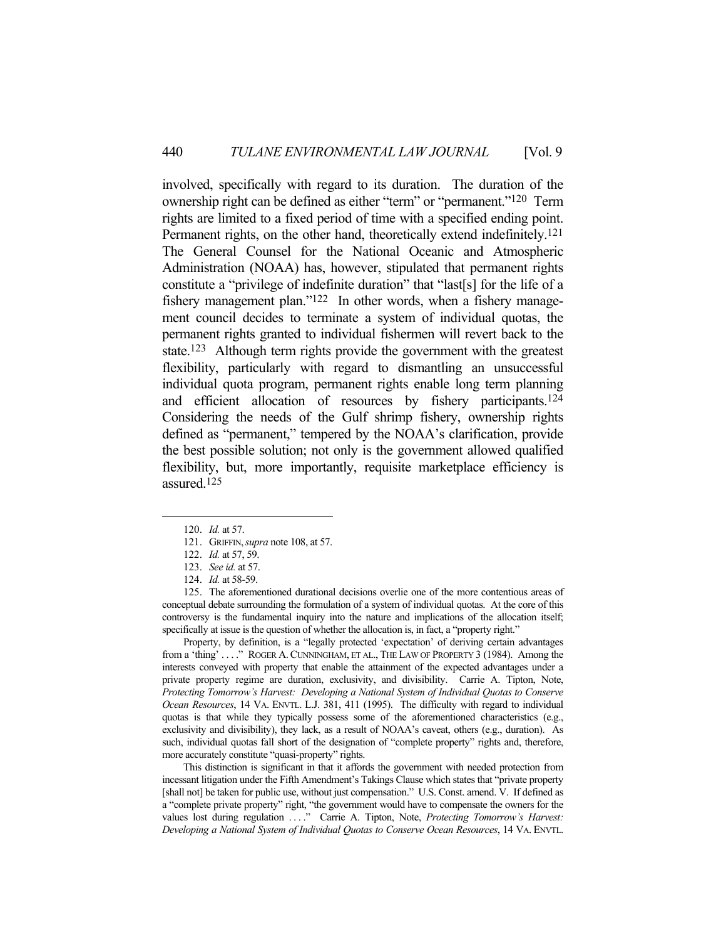involved, specifically with regard to its duration. The duration of the ownership right can be defined as either "term" or "permanent."120 Term rights are limited to a fixed period of time with a specified ending point. Permanent rights, on the other hand, theoretically extend indefinitely.<sup>121</sup> The General Counsel for the National Oceanic and Atmospheric Administration (NOAA) has, however, stipulated that permanent rights constitute a "privilege of indefinite duration" that "last[s] for the life of a fishery management plan."<sup>122</sup> In other words, when a fishery management council decides to terminate a system of individual quotas, the permanent rights granted to individual fishermen will revert back to the state.123 Although term rights provide the government with the greatest flexibility, particularly with regard to dismantling an unsuccessful individual quota program, permanent rights enable long term planning and efficient allocation of resources by fishery participants.124 Considering the needs of the Gulf shrimp fishery, ownership rights defined as "permanent," tempered by the NOAA's clarification, provide the best possible solution; not only is the government allowed qualified flexibility, but, more importantly, requisite marketplace efficiency is assured.125

1

 Property, by definition, is a "legally protected 'expectation' of deriving certain advantages from a 'thing' ...." ROGER A. CUNNINGHAM, ET AL., THE LAW OF PROPERTY 3 (1984). Among the interests conveyed with property that enable the attainment of the expected advantages under a private property regime are duration, exclusivity, and divisibility. Carrie A. Tipton, Note, *Protecting Tomorrow's Harvest: Developing a National System of Individual Quotas to Conserve Ocean Resources*, 14 VA. ENVTL. L.J. 381, 411 (1995). The difficulty with regard to individual quotas is that while they typically possess some of the aforementioned characteristics (e.g., exclusivity and divisibility), they lack, as a result of NOAA's caveat, others (e.g., duration). As such, individual quotas fall short of the designation of "complete property" rights and, therefore, more accurately constitute "quasi-property" rights.

 This distinction is significant in that it affords the government with needed protection from incessant litigation under the Fifth Amendment's Takings Clause which states that "private property [shall not] be taken for public use, without just compensation." U.S. Const. amend. V. If defined as a "complete private property" right, "the government would have to compensate the owners for the values lost during regulation ...." Carrie A. Tipton, Note, Protecting Tomorrow's Harvest: *Developing a National System of Individual Quotas to Conserve Ocean Resources*, 14 VA. ENVTL.

 <sup>120.</sup> *Id.* at 57.

 <sup>121.</sup> GRIFFIN,*supra* note 108, at 57.

 <sup>122.</sup> *Id.* at 57, 59.

 <sup>123.</sup> *See id.* at 57.

 <sup>124.</sup> *Id.* at 58-59.

 <sup>125.</sup> The aforementioned durational decisions overlie one of the more contentious areas of conceptual debate surrounding the formulation of a system of individual quotas. At the core of this controversy is the fundamental inquiry into the nature and implications of the allocation itself; specifically at issue is the question of whether the allocation is, in fact, a "property right."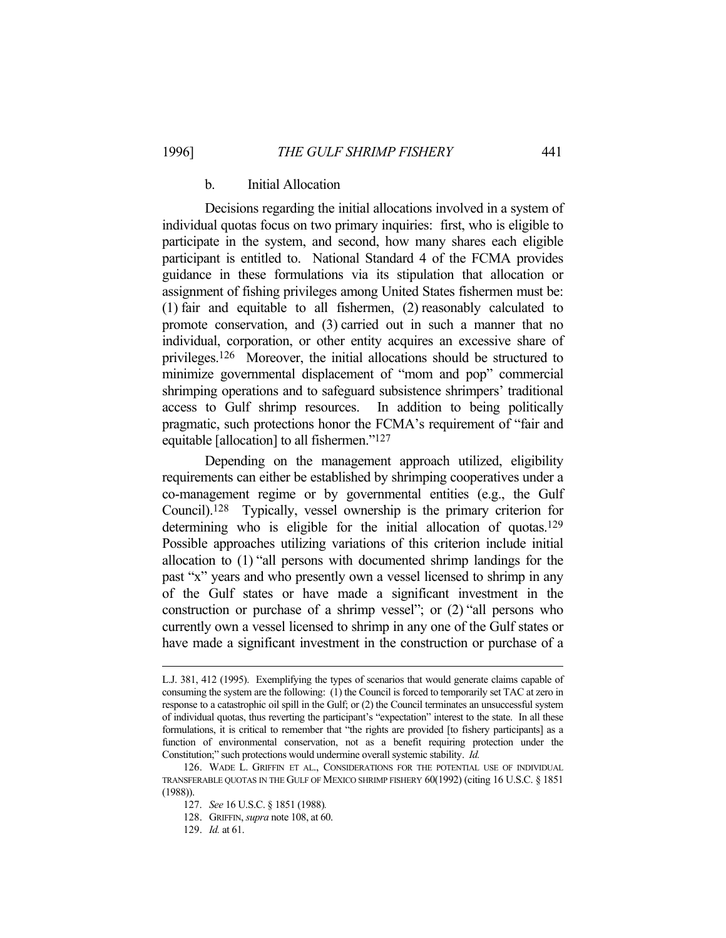# b. Initial Allocation

 Decisions regarding the initial allocations involved in a system of individual quotas focus on two primary inquiries: first, who is eligible to participate in the system, and second, how many shares each eligible participant is entitled to. National Standard 4 of the FCMA provides guidance in these formulations via its stipulation that allocation or assignment of fishing privileges among United States fishermen must be: (1) fair and equitable to all fishermen, (2) reasonably calculated to promote conservation, and (3) carried out in such a manner that no individual, corporation, or other entity acquires an excessive share of privileges.126 Moreover, the initial allocations should be structured to minimize governmental displacement of "mom and pop" commercial shrimping operations and to safeguard subsistence shrimpers' traditional access to Gulf shrimp resources. In addition to being politically pragmatic, such protections honor the FCMA's requirement of "fair and equitable [allocation] to all fishermen."127

 Depending on the management approach utilized, eligibility requirements can either be established by shrimping cooperatives under a co-management regime or by governmental entities (e.g., the Gulf Council).128 Typically, vessel ownership is the primary criterion for determining who is eligible for the initial allocation of quotas.<sup>129</sup> Possible approaches utilizing variations of this criterion include initial allocation to (1) "all persons with documented shrimp landings for the past "x" years and who presently own a vessel licensed to shrimp in any of the Gulf states or have made a significant investment in the construction or purchase of a shrimp vessel"; or (2) "all persons who currently own a vessel licensed to shrimp in any one of the Gulf states or have made a significant investment in the construction or purchase of a

L.J. 381, 412 (1995). Exemplifying the types of scenarios that would generate claims capable of consuming the system are the following: (1) the Council is forced to temporarily set TAC at zero in response to a catastrophic oil spill in the Gulf; or (2) the Council terminates an unsuccessful system of individual quotas, thus reverting the participant's "expectation" interest to the state. In all these formulations, it is critical to remember that "the rights are provided [to fishery participants] as a function of environmental conservation, not as a benefit requiring protection under the Constitution;" such protections would undermine overall systemic stability. *Id.*

 <sup>126.</sup> WADE L. GRIFFIN ET AL., CONSIDERATIONS FOR THE POTENTIAL USE OF INDIVIDUAL TRANSFERABLE QUOTAS IN THE GULF OF MEXICO SHRIMP FISHERY 60(1992) (citing 16 U.S.C. § 1851 (1988)).

 <sup>127.</sup> *See* 16 U.S.C. § 1851 (1988)*.*

 <sup>128.</sup> GRIFFIN, *supra* note 108, at 60.

 <sup>129.</sup> *Id.* at 61.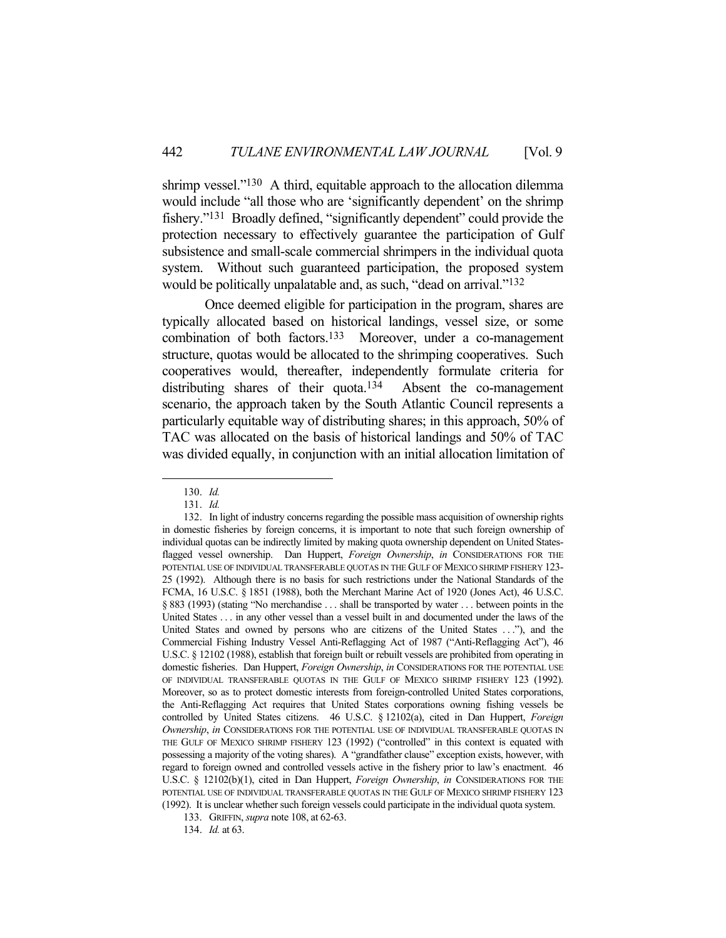shrimp vessel."<sup>130</sup> A third, equitable approach to the allocation dilemma would include "all those who are 'significantly dependent' on the shrimp fishery."131 Broadly defined, "significantly dependent" could provide the protection necessary to effectively guarantee the participation of Gulf subsistence and small-scale commercial shrimpers in the individual quota system. Without such guaranteed participation, the proposed system would be politically unpalatable and, as such, "dead on arrival."<sup>132</sup>

 Once deemed eligible for participation in the program, shares are typically allocated based on historical landings, vessel size, or some combination of both factors.133 Moreover, under a co-management structure, quotas would be allocated to the shrimping cooperatives. Such cooperatives would, thereafter, independently formulate criteria for distributing shares of their quota.<sup>134</sup> Absent the co-management scenario, the approach taken by the South Atlantic Council represents a particularly equitable way of distributing shares; in this approach, 50% of TAC was allocated on the basis of historical landings and 50% of TAC was divided equally, in conjunction with an initial allocation limitation of

<u>.</u>

134. *Id.* at 63.

 <sup>130.</sup> *Id.*

 <sup>131.</sup> *Id.*

 <sup>132.</sup> In light of industry concerns regarding the possible mass acquisition of ownership rights in domestic fisheries by foreign concerns, it is important to note that such foreign ownership of individual quotas can be indirectly limited by making quota ownership dependent on United Statesflagged vessel ownership. Dan Huppert, *Foreign Ownership*, *in* CONSIDERATIONS FOR THE POTENTIAL USE OF INDIVIDUAL TRANSFERABLE QUOTAS IN THE GULF OF MEXICO SHRIMP FISHERY 123- 25 (1992). Although there is no basis for such restrictions under the National Standards of the FCMA, 16 U.S.C. § 1851 (1988), both the Merchant Marine Act of 1920 (Jones Act), 46 U.S.C. § 883 (1993) (stating "No merchandise . . . shall be transported by water . . . between points in the United States . . . in any other vessel than a vessel built in and documented under the laws of the United States and owned by persons who are citizens of the United States . . ."), and the Commercial Fishing Industry Vessel Anti-Reflagging Act of 1987 ("Anti-Reflagging Act"), 46 U.S.C. § 12102 (1988), establish that foreign built or rebuilt vessels are prohibited from operating in domestic fisheries. Dan Huppert, *Foreign Ownership*, *in* CONSIDERATIONS FOR THE POTENTIAL USE OF INDIVIDUAL TRANSFERABLE QUOTAS IN THE GULF OF MEXICO SHRIMP FISHERY 123 (1992). Moreover, so as to protect domestic interests from foreign-controlled United States corporations, the Anti-Reflagging Act requires that United States corporations owning fishing vessels be controlled by United States citizens. 46 U.S.C. § 12102(a), cited in Dan Huppert, *Foreign Ownership*, *in* CONSIDERATIONS FOR THE POTENTIAL USE OF INDIVIDUAL TRANSFERABLE QUOTAS IN THE GULF OF MEXICO SHRIMP FISHERY 123 (1992) ("controlled" in this context is equated with possessing a majority of the voting shares). A "grandfather clause" exception exists, however, with regard to foreign owned and controlled vessels active in the fishery prior to law's enactment. 46 U.S.C. § 12102(b)(1), cited in Dan Huppert, *Foreign Ownership*, *in* CONSIDERATIONS FOR THE POTENTIAL USE OF INDIVIDUAL TRANSFERABLE QUOTAS IN THE GULF OF MEXICO SHRIMP FISHERY 123 (1992). It is unclear whether such foreign vessels could participate in the individual quota system.

 <sup>133.</sup> GRIFFIN, *supra* note 108, at 62-63.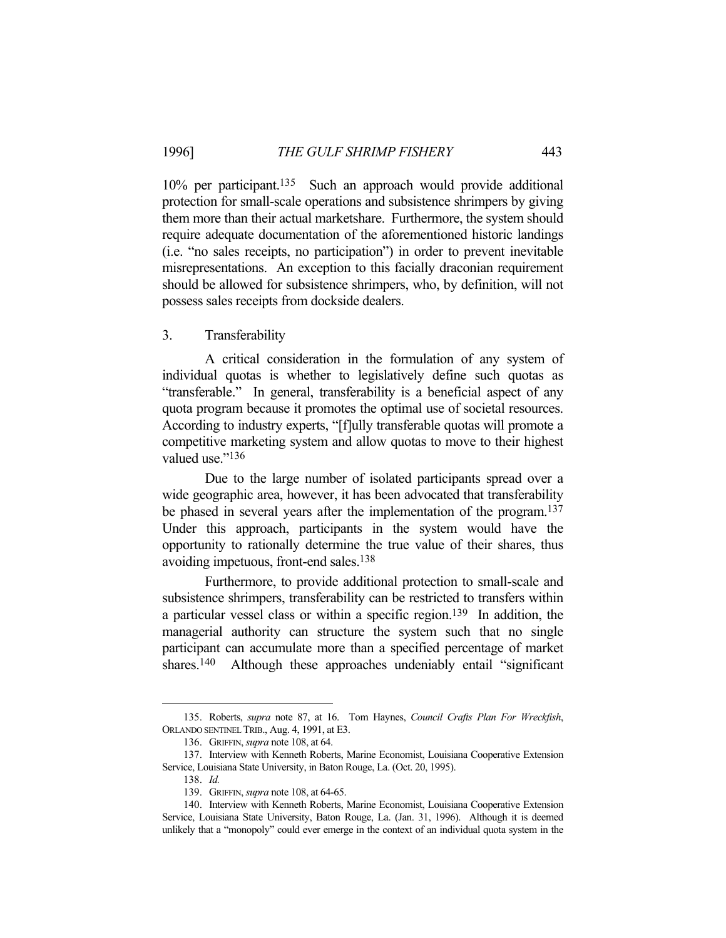10% per participant.135 Such an approach would provide additional protection for small-scale operations and subsistence shrimpers by giving them more than their actual marketshare. Furthermore, the system should require adequate documentation of the aforementioned historic landings (i.e. "no sales receipts, no participation") in order to prevent inevitable misrepresentations. An exception to this facially draconian requirement should be allowed for subsistence shrimpers, who, by definition, will not possess sales receipts from dockside dealers.

#### 3. Transferability

 A critical consideration in the formulation of any system of individual quotas is whether to legislatively define such quotas as "transferable." In general, transferability is a beneficial aspect of any quota program because it promotes the optimal use of societal resources. According to industry experts, "[f]ully transferable quotas will promote a competitive marketing system and allow quotas to move to their highest valued use."<sup>136</sup>

 Due to the large number of isolated participants spread over a wide geographic area, however, it has been advocated that transferability be phased in several years after the implementation of the program.<sup>137</sup> Under this approach, participants in the system would have the opportunity to rationally determine the true value of their shares, thus avoiding impetuous, front-end sales.138

 Furthermore, to provide additional protection to small-scale and subsistence shrimpers, transferability can be restricted to transfers within a particular vessel class or within a specific region.139 In addition, the managerial authority can structure the system such that no single participant can accumulate more than a specified percentage of market shares.<sup>140</sup> Although these approaches undeniably entail "significant"

 <sup>135.</sup> Roberts, *supra* note 87, at 16. Tom Haynes, *Council Crafts Plan For Wreckfish*, ORLANDO SENTINEL TRIB., Aug. 4, 1991, at E3.

 <sup>136.</sup> GRIFFIN, *supra* note 108, at 64.

 <sup>137.</sup> Interview with Kenneth Roberts, Marine Economist, Louisiana Cooperative Extension Service, Louisiana State University, in Baton Rouge, La. (Oct. 20, 1995).

 <sup>138.</sup> *Id.*

 <sup>139.</sup> GRIFFIN, *supra* note 108, at 64-65.

 <sup>140.</sup> Interview with Kenneth Roberts, Marine Economist, Louisiana Cooperative Extension Service, Louisiana State University, Baton Rouge, La. (Jan. 31, 1996). Although it is deemed unlikely that a "monopoly" could ever emerge in the context of an individual quota system in the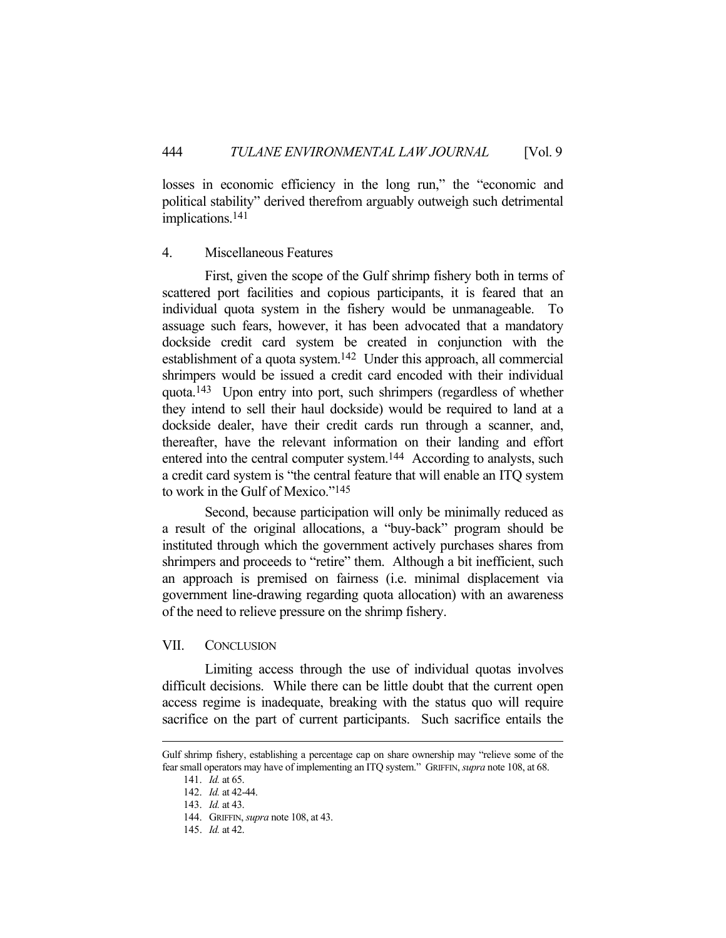losses in economic efficiency in the long run," the "economic and political stability" derived therefrom arguably outweigh such detrimental implications.141

## 4. Miscellaneous Features

 First, given the scope of the Gulf shrimp fishery both in terms of scattered port facilities and copious participants, it is feared that an individual quota system in the fishery would be unmanageable. To assuage such fears, however, it has been advocated that a mandatory dockside credit card system be created in conjunction with the establishment of a quota system.142 Under this approach, all commercial shrimpers would be issued a credit card encoded with their individual quota.143 Upon entry into port, such shrimpers (regardless of whether they intend to sell their haul dockside) would be required to land at a dockside dealer, have their credit cards run through a scanner, and, thereafter, have the relevant information on their landing and effort entered into the central computer system.144 According to analysts, such a credit card system is "the central feature that will enable an ITQ system to work in the Gulf of Mexico."145

 Second, because participation will only be minimally reduced as a result of the original allocations, a "buy-back" program should be instituted through which the government actively purchases shares from shrimpers and proceeds to "retire" them. Although a bit inefficient, such an approach is premised on fairness (i.e. minimal displacement via government line-drawing regarding quota allocation) with an awareness of the need to relieve pressure on the shrimp fishery.

## VII. CONCLUSION

 Limiting access through the use of individual quotas involves difficult decisions. While there can be little doubt that the current open access regime is inadequate, breaking with the status quo will require sacrifice on the part of current participants. Such sacrifice entails the

Gulf shrimp fishery, establishing a percentage cap on share ownership may "relieve some of the fear small operators may have of implementing an ITQ system." GRIFFIN, *supra* note 108, at 68.

 <sup>141.</sup> *Id.* at 65.

 <sup>142.</sup> *Id.* at 42-44.

 <sup>143.</sup> *Id.* at 43.

 <sup>144.</sup> GRIFFIN, *supra* note 108, at 43.

 <sup>145.</sup> *Id.* at 42.